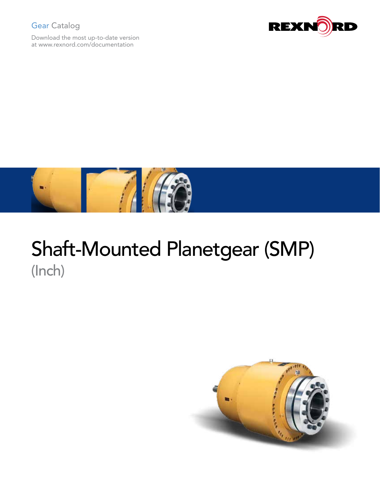### Gear Catalog

Download the most up-to-date version at www.rexnord.com/documentation





## Shaft-Mounted Planetgear (SMP) (Inch)

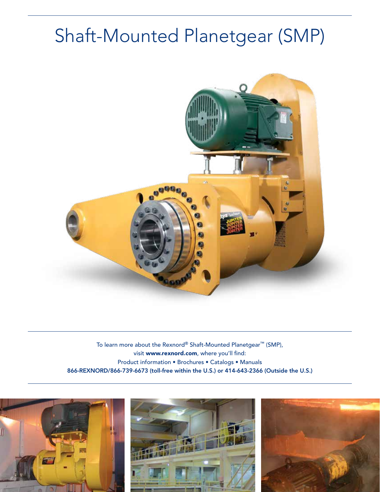# Shaft-Mounted Planetgear (SMP)



To learn more about the Rexnord® Shaft-Mounted Planetgear™ (SMP), visit www.rexnord.com, where you'll find: Product information • Brochures • Catalogs • Manuals 866-REXNORD/866-739-6673 (toll-free within the U.S.) or 414-643-2366 (Outside the U.S.)





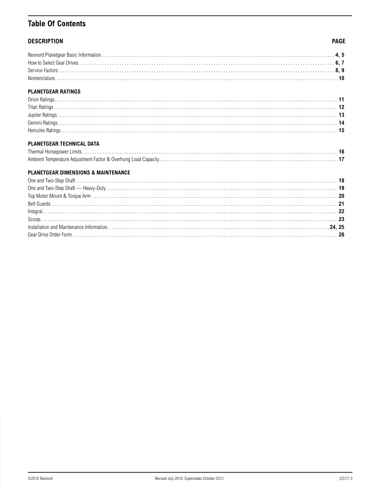### **Table Of Contents**

### **DESCRIPTION**

### **PAGE**

| <b>PLANETGEAR RATINGS</b> |  |
|---------------------------|--|
|                           |  |
|                           |  |
|                           |  |

### PLANETGEAR TECHNICAL DATA

### **PLANETGEAR DIMENSIONS & MAINTENANCE**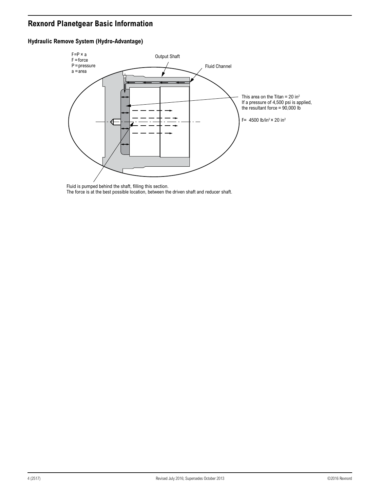### <span id="page-3-0"></span>**Rexnord Planetgear Basic Information**

### **Hydraulic Remove System (Hydro-Advantage)**



Fluid is pumped behind the shaft, filling this section. The force is at the best possible location, between the driven shaft and reducer shaft.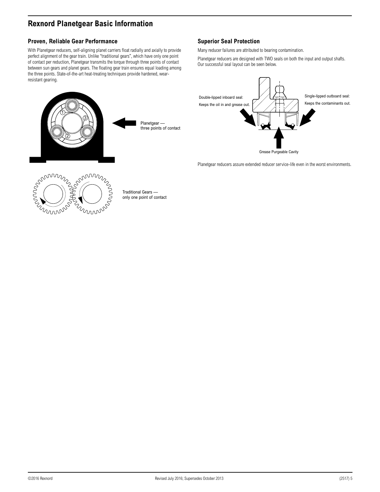### **Rexnord Planetgear Basic Information**

### **Proven, Reliable Gear Performance**

With Planetgear reducers, self-aligning planet carriers float radially and axially to provide perfect alignment of the gear train. Unlike "traditional gears", which have only one point of contact per reduction, Planetgear transmits the torque through three points of contact between sun gears and planet gears. The floating gear train ensures equal loading among the three points. State-of-the-art heat-treating techniques provide hardened, wearresistant gearing.



### **Superior Seal Protection**

Many reducer failures are attributed to bearing contamination.

Planetgear reducers are designed with TWO seals on both the input and output shafts. Our successful seal layout can be seen below.



Planetgear reducers assure extended reducer service-life even in the worst environments.



Traditional Gears only one point of contact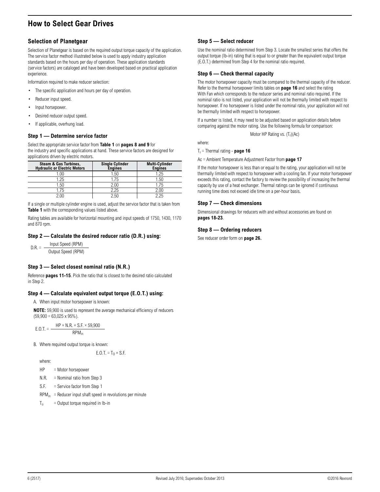### <span id="page-5-0"></span>**How to Select Gear Drives**

### **Selection of Planetgear**

Selection of Planetgear is based on the required output torque capacity of the application. The service factor method illustrated below is used to apply industry application standards based on the hours per day of operation. These application standards (service factors) are cataloged and have been developed based on practical application experience.

Information required to make reducer selection:

- The specific application and hours per day of operation.
- Reducer input speed.
- Input horsepower.
- Desired reducer output speed.
- If applicable, overhung load.

#### **Step 1 — Determine service factor**

Select the appropriate service factor from **[Table 1](#page-7-1)** on **[pages 8 and](#page-7-1) [9](#page-8-0)** for the industry and specific applications at hand. These service factors are designed for applications driven by electric motors.

| <b>Steam &amp; Gas Turbines,</b><br><b>Hydraulic or Electric Motors</b> | <b>Single Cylinder</b><br><b>Engines</b> | <b>Multi-Cylinder</b><br><b>Engines</b> |
|-------------------------------------------------------------------------|------------------------------------------|-----------------------------------------|
| 0.00                                                                    | 1.50                                     | 1.25                                    |
| 1.25                                                                    | .75                                      | 1.50                                    |
| .50                                                                     | 2.00                                     | 1.75                                    |
| .6                                                                      | 2.25                                     | 2.00                                    |
| ີ∩∩ ົ                                                                   | 2 5በ                                     | 225                                     |

If a single or multiple cylinder engine is used, adjust the service factor that is taken from **[Table 1](#page-7-1)** with the corresponding values listed above.

Rating tables are available for horizontal mounting and input speeds of 1750, 1430, 1170 and 870 rpm.

### **Step 2 — Calculate the desired reducer ratio (D.R.) using:**

 $D.R. =$  Input Speed (RPM) Output Speed (RPM)

### **Step 3 — Select closest nominal ratio (N.R.)**

Reference **[pages 11-](#page-10-1)[15](#page-14-1)**. Pick the ratio that is closest to the desired ratio calculated in Step 2.

#### **Step 4 — Calculate equivalent output torque (E.O.T.) using:**

A. When input motor horsepower is known:

**NOTE:** 59,900 is used to represent the average mechanical efficiency of reducers  $(59,900 = 63,025 \times 95\%)$ .

$$
E.0.T. = \frac{HP \times N.R. \times S.F. \times 59,900}{RPM_{in}}
$$

B. Where required output torque is known:

E.O.T. =  $T_0 \times S.F.$ 

where:

- HP = Motor horsepower
- N.R. = Nominal ratio from Step 3

S.F. = Service factor from Step 1

 $RPM_{in}$  = Reducer input shaft speed in revolutions per minute

$$
T_0 = Output torque required in lb-in
$$

### **Step 5 — Select reducer**

Use the nominal ratio determined from Step 3. Locate the smallest series that offers the output torque (lb-in) rating that is equal to or greater than the equivalent output torque (E.O.T.) determined from Step 4 for the nominal ratio required.

#### **Step 6 — Check thermal capacity**

The motor horsepower capacity must be compared to the thermal capacity of the reducer. Refer to the thermal horsepower limits tables on **[page 16](#page-15-1)** and select the rating With Fan which corresponds to the reducer series and nominal ratio required. If the nominal ratio is not listed, your application will not be thermally limited with respect to horsepower. If no horsepower is listed under the nominal ratio, your application will not be thermally limited with respect to horsepower.

If a number is listed, it may need to be adjusted based on application details before comparing against the motor rating. Use the following formula for comparison:

Motor HP Rating vs.  $(T_r)(Ac)$ 

where:

Tr = Thermal rating - **[page 16](#page-15-1)**

Ac = Ambient Temperature Adjustment Factor from **[page 17](#page-16-1)**

If the motor horsepower is less than or equal to the rating, your application will not be thermally limited with respect to horsepower with a cooling fan. If your motor horsepower exceeds this rating, contact the factory to review the possibility of increasing the thermal capacity by use of a heat exchanger. Thermal ratings can be ignored if continuous running time does not exceed idle time on a per-hour basis.

#### **Step 7 — Check dimensions**

Dimensional drawings for reducers with and without accessories are found on **[pages 18-](#page-17-1)[23](#page-22-1)**.

#### **Step 8 — Ordering reducers**

See reducer order form on **[page 26](#page-25-1).**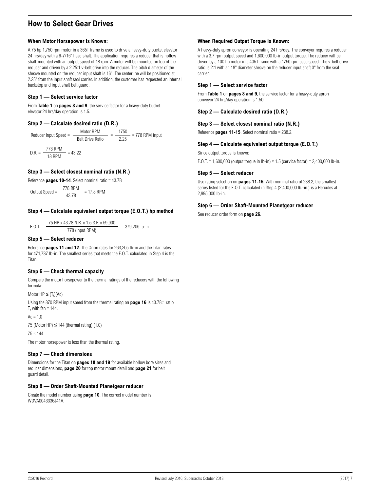### **How to Select Gear Drives**

#### **When Motor Horsepower Is Known:**

A 75 hp 1,750 rpm motor in a 365T frame is used to drive a heavy-duty bucket elevator 24 hrs/day with a 6-7/16" head shaft. The application requires a reducer that is hollow shaft-mounted with an output speed of 18 rpm. A motor will be mounted on top of the reducer and driven by a 2.25:1 v-belt drive into the reducer. The pitch diameter of the sheave mounted on the reducer input shaft is 16". The centerline will be positioned at 2.25" from the input shaft seal carrier. In addition, the customer has requested an internal backstop and input shaft belt guard.

### **Step 1 — Select service factor**

From **[Table 1](#page-7-1)** on **[pages 8 and](#page-7-1) [9](#page-8-0)**, the service factor for a heavy-duty bucket elevator 24 hrs/day operation is 1.5.

#### **Step 2 — Calculate desired ratio (D.R.)**

Reducer Input Speed =  $\frac{\text{Motor RPM}}{\text{Belt Drive Ratio}} = \frac{1750}{2.25} = 778 \text{ RPM input}$  $D.R. = \frac{778 \text{ RPM}}{18 \text{ RPM}} = 43.22$ 

### **Step 3 — Select closest nominal ratio (N.R.)**

Reference **pages 10-14**. Select nominal ratio = 43.78

Output Speed =  $\frac{778 \text{ RPM}}{43.78}$  = 17.8 RPM

### **Step 4 — Calculate equivalent output torque (E.O.T.) hp method**

E.O.T. =  $\frac{75 \text{ HP} \times 43.78 \text{ N.R.} \times 1.5 \text{ S.F.} \times 59,900}{778 \text{ (input RPM)}}$  = 379,206 lb-in

#### **Step 5 — Select reducer**

Reference **[pages 11 and](#page-10-1) [12](#page-11-1)**. The Orion rates for 263,205 lb-in and the Titan rates for 471,737 lb-in. The smallest series that meets the E.O.T. calculated in Step 4 is the Titan.

### **Step 6 — Check thermal capacity**

Compare the motor horsepower to the thermal ratings of the reducers with the following formula:

Motor  $HP \leq (T_c)(Ac)$ 

Using the 870 RPM input speed from the thermal rating on **[page 16](#page-15-1)** is 43.78:1 ratio  $T_r$  with fan = 144.

 $Ac = 1.0$ 

75 (Motor HP)  $\leq$  144 (thermal rating) (1.0)

75 < 144

The motor horsepower is less than the thermal rating.

### **Step 7 — Check dimensions**

Dimensions for the Titan on **[pages 18 and](#page-17-1) [19](#page-18-1)** for available hollow bore sizes and reducer dimensions, **[page 20](#page-19-1)** for top motor mount detail and **[page 21](#page-20-1)** for belt guard detail.

#### **Step 8 — Order Shaft-Mounted Planetgear reducer**

Create the model number using **[page 10](#page-9-1)**. The correct model number is WDVA0043336J41A.

### **When Required Output Torque Is Known:**

A heavy-duty apron conveyor is operating 24 hrs/day. The conveyor requires a reducer with a 3.7 rpm output speed and 1,600,000 lb-in output torque. The reducer will be driven by a 100 hp motor in a 405T frame with a 1750 rpm base speed. The v-belt drive ratio is 2:1 with an 18" diameter sheave on the reducer input shaft 3" from the seal carrier.

### **Step 1 — Select service factor**

From **[Table 1](#page-7-1)** on **[pages 8 and](#page-7-1) [9](#page-8-0)**, the service factor for a heavy-duty apron conveyor 24 hrs/day operation is 1.50.

**Step 2 — Calculate desired ratio (D.R.)**

#### **Step 3 — Select closest nominal ratio (N.R.)**

Reference **[pages 11-](#page-10-1)[15](#page-14-1)**. Select nominal ratio = 238.2.

#### **Step 4 — Calculate equivalent output torque (E.O.T.)**

Since output torque is known:

E.O.T. = 1,600,000 (output torque in lb-in)  $\times$  1.5 (service factor) = 2,400,000 lb-in.

#### **Step 5 — Select reducer**

Use rating selection on **[pages 11-](#page-10-1)[15](#page-14-1)**. With nominal ratio of 238.2, the smallest series listed for the E.O.T. calculated in Step 4 (2,400,000 lb.-in.) is a Hercules at 2,995,000 lb-in.

### **Step 6 — Order Shaft-Mounted Planetgear reducer**

See reducer order form on **[page 26](#page-25-1)**.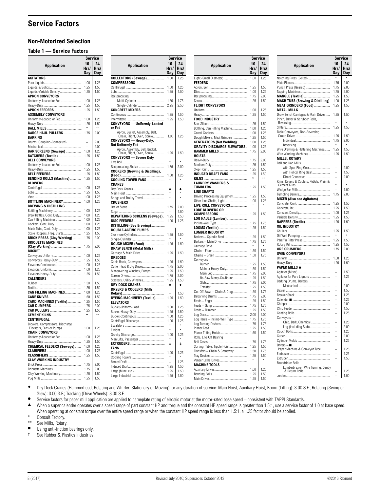### <span id="page-7-0"></span>**Service Factors**

### **Non-Motorized Selection**

### **Table 1 — Service Factors**

<span id="page-7-1"></span>**Service**

|                                                                | 10             | 24           |
|----------------------------------------------------------------|----------------|--------------|
| Application                                                    | Hrs/           | Hrs/         |
|                                                                | Day            | Day          |
| <b>AGITATORS</b>                                               |                |              |
|                                                                | 1.00           | 1.25         |
|                                                                | 1.25           | 1.50         |
| Liquids-Variable Density                                       | 1.25           | 1.50         |
| <b>APRON CONVEYORS</b>                                         |                |              |
| Uniformly-Loaded or Fed                                        | 1.00<br>1.25   | 1.25<br>1.50 |
| APRON FEEDERS                                                  | 1.25           | 1.50         |
| <b>ASSEMBLY CONVEYORS</b>                                      |                |              |
| Uniformly-Loaded or Fed                                        | 1.00           | 1.25         |
|                                                                | 1.25           | 1.50         |
|                                                                |                |              |
| <b>BARGE HAUL PULLERS </b>                                     | 1.75           | 2.00         |
| <b>BARKING</b>                                                 |                |              |
| Drums (Coupling-Connected)                                     | $\overline{a}$ | 2.00         |
| BAR SCREENS (Sewage)                                           | 1.00           | 2.00<br>1.25 |
| <b>BATCHERS (Textile) </b>                                     | 1.25           | 1.50         |
| <b>BELT CONVEYORS</b>                                          |                |              |
| Uniformly-Loaded or Fed                                        | 1.00           | 1.25         |
|                                                                | 1.25           | 1.50         |
|                                                                | 1.25           | 1.50         |
| BENDING ROLLS (Machine)                                        | 1.25           | 1.50         |
| <b>BLOWERS</b>                                                 |                |              |
|                                                                | 1.00           | 1.25         |
|                                                                | 1.25<br>1.00   | 1.50<br>1.25 |
| <b>BOTTLING MACHINERY</b>                                      | 1.00           | 1.25         |
| <b>BREWING &amp; DISTILLING</b>                                |                |              |
| Bottling Machinery                                             | 1.00           | 1.25         |
| Brew Kettles, Cont. Duty                                       | 1.00           | 1.25         |
| Can Filling Machines                                           | 1.00           | 1.25         |
| Cookers, Cont. Duty                                            | 1.00           | 1.25         |
| Mash Tubs, Cont. Duty                                          | 1.00           | 1.25         |
| Scale Hoppers, Freq. Starts                                    | 1.25           | 1.50         |
| <b>BRICK PRESS (Clay Working)</b><br><b>BRIQUETTE MACHINES</b> | 1.75           | 2.00         |
|                                                                | 1.75           | 2.00         |
| <b>BUCKET</b>                                                  |                |              |
| Conveyors Uniform                                              | 1.00           | 1.25         |
| Conveyors Heavy-Duty                                           | 1.25           | 1.50         |
| Elevators Continuous                                           | 1.00           | 1.25         |
|                                                                | 1.00           | 1.25         |
| Elevators Heavy-Duty                                           | 1.25           | 1.50         |
| <b>CALENDERS</b>                                               | 1.50           | 1.50         |
|                                                                | 1.25           | 1.50         |
| CAN FILLING MACHINES                                           | 1.00           | 1.25         |
|                                                                | 1.50           | 1.50         |
| CARD MACHINES (Textile)                                        | 1.25           | 1.50         |
|                                                                | 1.75           | 2.00         |
|                                                                | 1.25           | 1.50         |
|                                                                | ŵ.             | **           |
| CENTRIFUGAL                                                    |                |              |
| Blowers, Compressors, Discharge<br>Elevators, Fans or Pumps    | 1.00           | 1.25         |
| <b>CHAIN CONVEYORS</b>                                         |                |              |
| Uniformly-Loaded or Fed                                        | 1.00           | 1.25         |
|                                                                | 1.25           | 1.50         |
| CHEMICAL FEEDERS (Sewage)                                      | 1.00           | 1.25         |
|                                                                | 1.00           | 1.25         |
|                                                                | 1.25           | 1.50         |
| <b>CLAY WORKING INDUSTRY</b>                                   |                |              |
|                                                                | 1.75<br>1.75   | 2.00<br>2.00 |
| Briquette Machines<br>Clay Working Machinery                   | 1.25           | 1.50         |
| Pug Mills<br>                                                  | 1.25           | 1.50         |

|                                                              |              | Service      |
|--------------------------------------------------------------|--------------|--------------|
|                                                              | 10           | 24           |
| Application                                                  | Hrs/         | Hrs/         |
|                                                              | Day          | <b>Day</b>   |
| <b>COLLECTORS (Sewage)</b><br><b>COMPRESSORS</b>             | 1.00         | 1.25         |
|                                                              | 1.00         | 1.25         |
|                                                              | 1.25         | 1.50         |
| Reciprocating                                                |              |              |
| Multi-Cylinder                                               | 1.50         | 1.75         |
| Single-Cylinder<br><b>CONCRETE MIXERS</b>                    | 2.25         | 2.50         |
|                                                              | 1.25         | 1.50         |
|                                                              | 1.25         | 1.50         |
| <b>CONVEYORS</b> - Uniformly-Loaded                          |              |              |
| or Fed                                                       |              |              |
| Apron, Bucket, Assembly, Belt,<br>Chain, Flight, Oven, Screw | 1.00         | 1.25         |
| CONVEYORS - Heavy-Duty,                                      |              |              |
| Not Uniformly Fed                                            |              |              |
| Apron, Assembly, Belt, Bucket,                               |              |              |
| Chain, Flight, Oven, Screw                                   | 1.25         | 1.50         |
| <b>CONVEYORS - Severe Duty</b>                               |              |              |
| Reciprocating Shaker                                         | 1.75         | 2.00         |
| <b>COOKERS (Brewing &amp; Distilling),</b>                   |              |              |
|                                                              | 1.00         | 1.25         |
| <b>COOLING TOWER FANS</b>                                    |              |              |
| CRANES                                                       |              |              |
|                                                              | ×            | ×            |
| Bridge and Trolley Travel                                    |              |              |
| <b>CRUSHERS</b>                                              |              |              |
|                                                              | 1.75         | 2.00         |
|                                                              |              | 1.50         |
| <b>DEWATERING SCREENS (Sewage).</b>                          | 1.25         | 1.50         |
| DISTILLING (See Brewing)                                     | 1.00         | 1.25         |
| DOUBLE-ACTING PUMPS                                          |              |              |
| 2 or more Cylinders                                          | 1.25         | 1.50         |
|                                                              |              |              |
| DOUGH MIXER (Food)                                           | 1.25         | 1.50         |
| <b>DRAW BENCH (Metal Mills)</b>                              |              |              |
| Carriage & Main Drive<br><b>DREDGES</b>                      | 1.25         | 1.50         |
| Cable Reels, Conveyors                                       | 1.25         | 1.50         |
| Cutter Head & Jig Drives                                     | 1.75         | 2.00         |
| Maneuvering Winches, Pumps                                   | 1.25         | 1.50         |
|                                                              | 1.75         | 2.00         |
| Stackers, Utility Winches                                    | 1.25         | 1.50         |
| DRY DOCK CRANES<br>DRYERS & COOLERS (Mills,                  | ٠            | ٠            |
|                                                              |              | 1.50         |
| DYEING MACHINERY (Textile)                                   | 1.25         | 1.50         |
| <b>ELEVATORS</b>                                             |              |              |
| Bucket-Uniform-Load                                          | 1.00         | 1.25         |
| Bucket-Heavy-Duty<br>Bucket-Continuous                       | 1.25<br>1.00 | 1.50<br>1.25 |
| Centrifugal Discharge                                        | 1.00         | 1.25         |
|                                                              |              |              |
|                                                              | é            |              |
|                                                              | 1.00         | 1.25         |
| Man Lifts, Passenger                                         |              |              |
|                                                              | $\ddagger$   | $\ddagger$   |
| FANS                                                         | 1.00         | 1.25         |
|                                                              | ŵ            | ż            |
|                                                              |              | 1.25         |
|                                                              | 1.25         | 1.50         |
|                                                              | 1.25         | 1.50         |
|                                                              | 1.25         | 1.50         |

| Service                             |                     |                   |                                                             |                          | Service           |
|-------------------------------------|---------------------|-------------------|-------------------------------------------------------------|--------------------------|-------------------|
| Application                         | 10<br>Hrs/ l<br>Day | 24<br>Hrs/<br>Day | Application                                                 | 10<br>Hrs/<br>Day        | 24<br>Hrs/<br>Day |
| Light (Small Diameter)              | 1.00                | 1.25              | Notching Press (Belted)                                     |                          |                   |
| <b>FEEDERS</b>                      |                     |                   |                                                             | 1.75                     | 2.00              |
|                                     | 1.25                | 1.50              | Punch Press (Geared)                                        | 1.75                     | 2.00              |
|                                     | 1.00                | 1.25              |                                                             | 1.75                     | 2.00              |
|                                     | 1.75                | 2.00              | <b>MANGLE (Textile) </b>                                    | 1.25                     | 1.50              |
|                                     | 1.25                | 1.50              | <b>MASH TUBS (Brewing &amp; Distilling)</b>                 | 1.00                     | 1.25<br>1.50      |
| <b>FLIGHT CONVEYORS</b>             | 1.00                | 1.25              | <b>MEAT GRINDERS (Food) </b><br><b>METAL MILLS</b>          | 1.25                     |                   |
|                                     | 1.25                | 1.50              | Draw Bench Carriages & Main Drives                          | 1.25                     | 1.50              |
| <b>FOOD INDUSTRY</b>                |                     |                   | Pinch, Dryer & Scrubber Rolls,                              |                          |                   |
|                                     | 1.25                | 1.50              |                                                             | $\star$                  | $\star$           |
| Bottling, Can Filling Machine       | 1.00                | 1.25              |                                                             | 1.25                     | 1.50              |
|                                     | 1.00                | 1.25              | Table Conveyors, Non-Reversing                              |                          |                   |
| Dough Mixers, Meat Grinders         | 1.25                | 1.50              |                                                             | 1.25                     | 1.50              |
| <b>GENERATORS (Not Welding)</b>     | 1.00                | 1.25              |                                                             | 1.75                     | 2.00              |
| <b>GRAVITY DISCHARGE ELEVATORS.</b> | 1.00                | 1.25              |                                                             |                          | $\star$           |
| <b>HAMMER MILLS </b><br>HOISTS      | 1.75                | 2.00              | Wire Drawing & Flattening Machines<br>Wire Winding Machines | 1.25<br>1.25             | 1.50<br>1.50      |
|                                     | 1.75                | 2.00              | <b>MILLS, ROTARY</b>                                        |                          |                   |
|                                     | 1.25                | 1.50              | Ball and Rod Mills                                          |                          |                   |
|                                     | 1.25                | 1.50              | with Spur Ring Gear                                         | -                        | 2.00<br>1.50      |
| <b>INDUCED DRAFT FANS </b>          | 1.25                | 1.50              | with Helical Ring Gear<br>Direct Connected                  |                          | 2.00              |
|                                     | $\bullet\bullet$    | $\star\star$      | Kilns, Dryers & Coolers, Pebble, Plain &                    |                          |                   |
| <b>LAUNDRY WASHERS &amp;</b>        |                     |                   |                                                             |                          |                   |
|                                     | 1.25                | 1.50              |                                                             |                          | 1.50              |
| LINE SHAFTS                         | 1.25                | 1.50              |                                                             | 1.75                     | 2.00              |
| Driving Processing Equipment        | 1.00                | 1.25              | <b>MIXER (Also see Agitators)</b>                           |                          |                   |
| LIVE ROLL CONVEYORS                 |                     | ŵ                 |                                                             | 1.25                     | 1.50              |
| <b>LOBE BLOWERS OR</b>              |                     |                   |                                                             | 1.25                     | 1.50              |
| <b>COMPRESSORS</b>                  | 1.25                | 1.50              |                                                             | 1.00                     | 1.25              |
| LOG HAULS (Lumber)                  |                     |                   |                                                             | 1.25                     | 1.50              |
|                                     | 1.75                | 1.75              | <b>NAPPERS (Textile)</b>                                    | 1.25                     | 1.50              |
| LOOMS (Textile)                     | 1.25                | 1.50              | OIL INDUSTRY                                                |                          |                   |
| <b>LUMBER INDUSTRY</b>              |                     |                   |                                                             | 1.25                     | 1.50              |
| Barkers - Spindle Feed              | 1.25                | 1.50              |                                                             |                          |                   |
|                                     | 1.75                | 1.75              |                                                             | 1.25<br>1.25             | 1.50<br>1.50      |
|                                     |                     | $\star$           |                                                             | 1.75                     | 2.00              |
|                                     | 1.50                | 1.50              | OVEN CONVEYORS                                              |                          |                   |
|                                     | 1.50                | 1.75              |                                                             | 1.00                     | 1.25              |
| Conveyors                           |                     |                   |                                                             | 1.25                     | 1.50              |
|                                     | 1.25                | 1.50              | <b>PAPER MILLS <math>\bullet</math></b>                     |                          |                   |
| Main or Heavy-Duty                  | 1.50<br>1.75        | 1.50<br>2.00      |                                                             |                          | 1.50              |
| Re-Saw Merry-Go-Round               | 1.25                | 1.50              |                                                             |                          | 1.25              |
|                                     | 1.75                | 2.00              | Barking Drums, Barkers                                      |                          |                   |
|                                     | 1.25                | 1.50              |                                                             | $\overline{\phantom{0}}$ | 2.00              |
|                                     |                     | 1.75              |                                                             |                          | 1.50              |
|                                     | 1.75                | 2.00              |                                                             | $\overline{a}$           | 1.25              |
|                                     | 1.25                | 1.50              |                                                             | $\overline{a}$           | 1.25              |
|                                     | 1.75                | 1.75              |                                                             | $\overline{\phantom{0}}$ | 2.00              |
|                                     | 1.25                | 1.50              |                                                             | $\overline{\phantom{0}}$ | 1.50              |
|                                     | 2.00                | 2.00              |                                                             |                          | 1.25              |
| Log Hauls - Incline-Well Type       | 1.75                | 1.75              | Conveyors -                                                 |                          |                   |
| Log Turning Devices                 | 1.75                | 1.75              | Chip, Bark, Chemical                                        |                          | 1.25              |
|                                     | 1.25                | 1.50              | Log (including Slab)                                        |                          | 2.00<br>1.25      |
| Planer Tilting Hoists               | 1.50                | 1.50              |                                                             | -                        | 2.00              |
| Rolls, Live Off Bearing             |                     |                   |                                                             | ۳                        | 1.25              |
|                                     | 1.75                | 1.75              | $Dryers -$                                                  |                          |                   |
| Sorting, Table, Tipple Hoist        | 1.25                | 1.50              | Paper Machine & Conveyor Type                               | $\overline{\phantom{0}}$ | 1.25              |
| Transfers - Chain & Craneway        | 1.50                | 1.75              |                                                             | $\overline{a}$           | 1.25              |
|                                     | 1.25                | 1.50              |                                                             | $\overline{a}$           | 1.50              |
| Veneer Lathe Drives                 | ٠                   | $\star$           | Foundrinier Rolls                                           |                          |                   |
| <b>MACHINE TOOLS</b>                |                     |                   | Lumberbreaker, Wire Turning, Dandy                          |                          |                   |
|                                     | 1.00                | 1.25<br>1.50      |                                                             | -                        | 1.25              |
|                                     | 1.25                | 1.50              |                                                             | $\overline{\phantom{a}}$ | 1.50              |
|                                     |                     |                   |                                                             |                          |                   |

◆ Dry Dock Cranes (Hammerhead, Rotating and Whirler, Stationary or Moving) for any duration of service: Main Hoist, Auxiliary Hoist, Boom (Lifting): 3.00 S.F.; Rotating (Swing or Slew): 3.00 S.F.; Tracking (Drive Wheels): 3.00 S.F.

● Service factors for paper mill application are applied to nameplate rating of electric motor at the motor-rated base speed – consistent with TAPPI Standards.<br>● When a super calender operates over a speed range of part c

When a super calender operates over a speed range of part constant HP and torque and the constant HP speed range is greater than 1.5:1, use a service factor of 1.0 at base speed.

When operating at constant torque over the entire speed range or when the constant HP speed range is less than 1.5:1, a 1.25 factor should be applied.

\* Consult Factory.<br>\*\* See Mills Rotary

\*\* See Mills, Rotary.

■ Using anti-friction bearings only.<br>
‡ See Rubber & Plastics Industries.

See Rubber & Plastics Industries.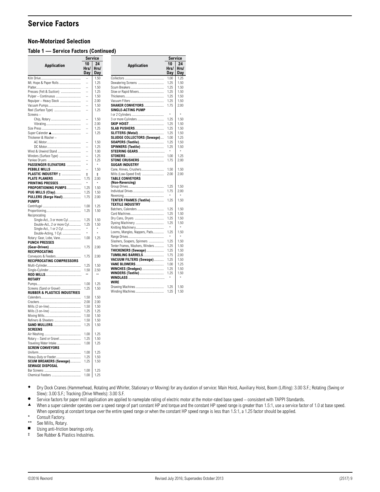### **Service Factors**

### **Non-Motorized Selection**

### **Table 1 — Service Factors (Continued)**

**Application**

**SHAKER CONVEYORS..... SINGLE-ACTING PUMP**

3 or more Cylinders ................

STONE CRUSHERS.......... **SUGAR INDUSTRY**

**WINDLASS**............................................. \* \* **WIRE**

Winding Machines................................... 1.25 1.50

<span id="page-8-0"></span>Collectors ............................................... 1.00 1.25 Dewatering Screens ................................ 1.25 1.50 Scum Breakers......................................... 1.25 1.50 Slow or Rapid Mixers............................... 1.25 1.50 Thickeners................................................ 1.25 1.50 Vacuum Filters ........................................ 1.25 1.50

I or 2 Cylinders........................................ \* \*

**SKIP HOIST**........................................... 1.25 1.50 **SLAB PUSHERS**.................................... 1.25 1.50 **SLITTERS (Metal)**................................ 1.25 1.50 **SLUDGE COLLECTORS (Sewage)....** 1.00 1.25<br>**SOAPERS (Textile).............................** 1.25 1.50 **SOAPERS (Textile)............................ SPINNERS (Textile)**............................. 1.25 1.50 **STEERING GEARS**................................. \* \* **STOKERS**............................................... 1.00 1.25

Cane, Knives, Crushers............................ 1.50 1.50 Edity, Milley, Even Communication 2.000 2.000 2.000 2.000 2.000 2.000 2.000 2.000 2.000 2.000 2.000 2.000 2.00<br>Mills (Low-Speed End) **TABLE CONVEYORS**

**(Non-Reversing)** Group Drives............................................ 1.25 1.50 Individual Drives...................................... 1.75 2.00 Reversing................................................. \* \* **TENTER FRAMES (Textile)............... TEXTILE INDUSTRY**

Batchers, Calenders................................. 1.25 1.50 Card Machines......................................... 1.25 1.50 Dry Cans, Dryers .................................... 1.25 1.50 Dyeing Machinery ................................... 1.25 1.50 Knitting Machinery................................... \* \* Looms, Mangles, Nappers, Pads............... 1.25 Range Drives............................................ \* \* Slashers, Soapers, Spinners ................... 1.25 1.50 Tenter Frames, Washers, Winders........... **THICKENERS (Sewage)**...................... 1.25 1.50 **TUMBLING BARRELS**.......................... 1.75 2.00 **VACUUM FILTERS (Sewage)**............. 1.25 1.50 **VANE BLOWERS**................................... 1.00 1.25 **WINCHES (Dredges)**........................... 1.25 1.50 **WINDERS (Textile)**.............................. 1.25 1.50

Drawing Machines................................... 1.25 1.50

**Service 10 Hrs/ Day**

**24 Hrs/ Day**

|                                                                     | Service       |              |  |
|---------------------------------------------------------------------|---------------|--------------|--|
|                                                                     | 10            | 24           |  |
| <b>Application</b>                                                  | Hrs/          | Hrs/         |  |
|                                                                     | Day           | Day          |  |
|                                                                     |               | 1.50         |  |
| Mt. Hope & Paper Rolls                                              |               | 1.25         |  |
|                                                                     |               | 1.50         |  |
| Presses (Felt & Suction)                                            |               | 1.25         |  |
| Pulper - Continuous                                                 | $\frac{1}{1}$ | 1.50         |  |
| Repulper - Heavy Stock                                              |               | 2.00         |  |
|                                                                     |               | 1.50         |  |
| Reel (Surface Type)                                                 |               | 1.25         |  |
| Screens-                                                            |               |              |  |
|                                                                     |               | 1.50         |  |
|                                                                     |               | 2.00         |  |
|                                                                     |               | 1.25         |  |
|                                                                     | $\frac{1}{1}$ | 1.25         |  |
|                                                                     |               |              |  |
| Thickener & Washer-                                                 |               |              |  |
|                                                                     |               | 1.50         |  |
|                                                                     |               | 1.25         |  |
| Wind & Unwind Stand                                                 |               | 1.00         |  |
| Winders (Surface Type)                                              |               | 1.25         |  |
|                                                                     |               | 1.25<br>×    |  |
| PASSENGER ELEVATORS                                                 | L             |              |  |
|                                                                     |               | 1.50         |  |
| <b>PLASTIC INDUSTRY <math>\ddagger</math></b>                       | $\ddagger$    | $\ddagger$   |  |
| PLATE PLANERS                                                       | 1.75          | 2.00         |  |
| <b>PRINTING PRESSES</b>                                             |               |              |  |
| PROPORTIONING PUMPS                                                 | 1.25          | 1.50         |  |
| <b>PUG MILLS (Clay)</b>                                             | 1.25          | 1.50         |  |
| <b>PULLERS (Barge Haul)</b>                                         | 1.75          | 2.00         |  |
| <b>PUMPS</b>                                                        |               |              |  |
|                                                                     | 1.00          | 1.25         |  |
|                                                                     | 1.25          | 1.50         |  |
| Reciprocating                                                       |               |              |  |
| Single-Act., 3 or more Cyl.                                         | 1.25          | 1.50         |  |
| Double-Act., 2 or more Cyl                                          | 1.25<br>×     | 1.50<br>÷    |  |
| Single-Act., 1 or 2 Cyl.                                            | ×             |              |  |
| Double-Acting, 1 Cyl.                                               |               |              |  |
| Rotary: Gear, Lobe, Vane                                            | 1.00          | 1.25         |  |
| <b>PUNCH PRESSES</b>                                                |               |              |  |
|                                                                     | 1.75          | 2.00         |  |
| RECIPROCATING                                                       |               |              |  |
| Conveyors & Feeders                                                 | 1.75          | 2.00         |  |
| RECIPROCATING COMPRESSORS                                           |               |              |  |
|                                                                     | 1.25          | 1.50         |  |
|                                                                     | 1.50          | 2.50         |  |
|                                                                     |               |              |  |
| <b>ROTARY</b>                                                       |               |              |  |
|                                                                     | 1.00          | 1.25         |  |
| Screens (Sand or Gravel)<br><b>RUBBER &amp; PLASTICS INDUSTRIES</b> | 1.25          | 1.50         |  |
|                                                                     |               |              |  |
|                                                                     | 1.50<br>2.00  | 1.50<br>2.00 |  |
|                                                                     |               |              |  |
|                                                                     | 1.50<br>1.25  | 1.50<br>1.25 |  |
|                                                                     |               |              |  |
|                                                                     | 1.50          | 1.50         |  |
| Refiners & Sheeters                                                 | 1.50          | 1.50         |  |
|                                                                     | 1.25          | 1.50         |  |
| <b>SCREENS</b>                                                      |               |              |  |
|                                                                     | 1.00          | 1.25         |  |
| Rotary - Sand or Gravel                                             | 1.25          | 1.50         |  |
| Traveling Water Intake                                              | 1.00          | 1.25         |  |
| <b>SCREW CONVEYORS</b>                                              |               |              |  |
|                                                                     | 1.00          | 1.25         |  |
| Heavy-Duty or Feeder                                                | 1.25          | 1.50         |  |
| SCUM BREAKERS (Sewage)                                              | 1.25          | 1.50         |  |
| SEWAGE DISPOSAL                                                     |               | 1.25         |  |
|                                                                     | 1.00          |              |  |
|                                                                     | 1.00          | 1.25         |  |

| * Dry Dock Cranes (Hammerhead, Rotating and Whirler, Stationary or Moving) for any duration of service: Main Hoist, Auxiliary Hoist, Boom (Lifting): 3.00 S.F.; Rotating (Swing or |
|------------------------------------------------------------------------------------------------------------------------------------------------------------------------------------|
| Slew): 3.00 S.F.; Tracking (Drive Wheels): 3.00 S.F.                                                                                                                               |

● Service factors for paper mill application are applied to nameplate rating of electric motor at the motor-rated base speed – consistent with TAPPI Standards.<br>▲ When a suner calender operates over a speed range of part c

When a super calender operates over a speed range of part constant HP and torque and the constant HP speed range is greater than 1.5:1, use a service factor of 1.0 at base speed.

When operating at constant torque over the entire speed range or when the constant HP speed range is less than 1.5:1, a 1.25 factor should be applied.

\* Consult Factory.

\*\* See Mills, Rotary.

 $\blacksquare$  Using anti-friction bearings only.<br>  $\uparrow$  See Rubber & Plastics Industries

See Rubber & Plastics Industries.

| ©2016 Rexnord |
|---------------|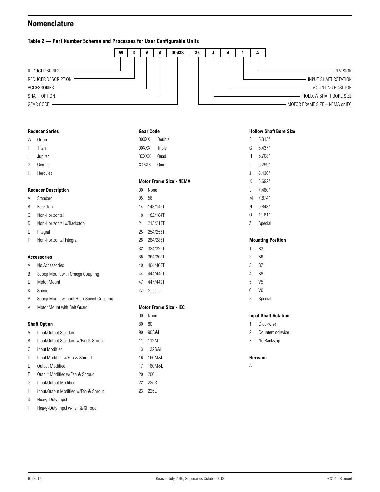### <span id="page-9-1"></span><span id="page-9-0"></span>**Nomenclature**

### **Table 2 — Part Number Schema and Processes for User Configurable Units**



|   | <b>Reducer Series</b>                   | <b>Gear Code</b>               |
|---|-----------------------------------------|--------------------------------|
| W | Orion                                   | 000XX<br>Double                |
| T | Titan                                   | 00XXX<br>Triple                |
| J | Jupiter                                 | <b>OXXXX</b><br>Quad           |
| G | Gemini                                  | XXXXX<br>Quint                 |
| Н | Hercules                                |                                |
|   |                                         | <b>Motor Frame Size - NEMA</b> |
|   | <b>Reducer Description</b>              | 00 <sup>1</sup><br>None        |
| A | Standard                                | 0 <sub>5</sub><br>56           |
| B | Backstop                                | 14<br>143/145T                 |
| C | Non-Horizontal                          | 182/184T<br>18                 |
| D | Non-Horizontal w/Backstop               | 213/215T<br>21                 |
| Ε | Integral                                | 25<br>254/256T                 |
| F | Non-Horizontal Integral                 | 28<br>284/286T                 |
|   |                                         | 32<br>324/326T                 |
|   | <b>Accessories</b>                      | 364/365T<br>36                 |
| Α | No Accessories                          | 40<br>404/405T                 |
| Β | Scoop Mount with Omega Coupling         | 444/445T<br>44                 |
| E | Motor Mount                             | 447/449T<br>47                 |
| Κ | Special                                 | ZZ<br>Special                  |
| P | Scoop Mount without High-Speed Coupling |                                |
| V | Motor Mount with Belt Guard             | <b>Motor Frame Size - IEC</b>  |

00 None 80 80 90 90S&L 11 112M 13 132S&L 16 160M&L 17 180M&L 20 200L 22 225S 23 225L

#### **Shaft Option**

- A Input/Output Standard
- B Input/Output Standard w/Fan & Shroud
- C Input Modified
- D Input Modified w/Fan & Shroud
- E Output Modified
- F Output Modified w/Fan & Shroud
- G Input/Output Modified
- H Input/Output Modified w/Fan & Shroud
- S Heavy-Duty Input
- T Heavy-Duty Input w/Fan & Shroud

### **Hollow Shaft Bore Size**

| F  | 5 313"  |
|----|---------|
| G  | 5.437"  |
| Н  | 5708"   |
| L  | 6.299"  |
| J, | ჩ.436"  |
| Κ  | 6 692"  |
| L  | 7480"   |
| Μ  | 7 874"  |
| Ν  | 9.843"  |
| N  | 11 811" |
| 7  | Special |
|    |         |
|    |         |

### **Mounting Position**

| к,     |  |
|--------|--|
| c<br>D |  |

|   | ×<br>۰. |
|---|---------|
| v |         |

- 4 B8
- 5 V5
- 6 V6
- Z Special

### **Input Shaft Rotation**

- 1 Clockwise
- 2 Counterclockwise
- X No Backstop

### **Revision**

A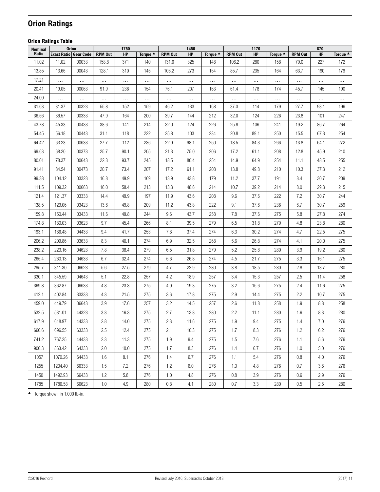## <span id="page-10-0"></span>**Orion Ratings**

### <span id="page-10-1"></span>**Orion Ratings Table**

| Nominal | <b>Orion</b>                 |          |                | 1750     |                     |                | 1450      |          |                | 1170      |          |                | 870      |          |
|---------|------------------------------|----------|----------------|----------|---------------------|----------------|-----------|----------|----------------|-----------|----------|----------------|----------|----------|
| Ratio   | <b>Exact Ratio Gear Code</b> |          | <b>RPM Out</b> | HP       | Torque <sup>4</sup> | <b>RPM Out</b> | <b>HP</b> | Torque ▲ | <b>RPM Out</b> | <b>HP</b> | Torque ▲ | <b>RPM Out</b> | HP       | Torque ▲ |
| 11.02   | 11.02                        | 00033    | 158.8          | 371      | 140                 | 131.6          | 325       | 148      | 106.2          | 280       | 158      | 79.0           | 227      | 172      |
| 13.85   | 13.66                        | 00043    | 128.1          | 310      | 145                 | 106.2          | 273       | 154      | 85.7           | 235       | 164      | 63.7           | 190      | 179      |
| 17.21   | $\ldots$                     | $\ldots$ | $\cdots$       | $\cdots$ | $\ldots$            | $\cdots$       | $\cdots$  | $\cdots$ | $\cdots$       |           | $\cdots$ | $\cdots$       | $\cdots$ | $\cdots$ |
| 20.41   | 19.05                        | 00063    | 91.9           | 236      | 154                 | 76.1           | 207       | 163      | 61.4           | 178       | 174      | 45.7           | 145      | 190      |
| 24.00   | $\ldots$                     | $\ldots$ | $\cdots$       | $\cdots$ | $\ldots$            | $\cdots$       |           |          |                |           | $\ldots$ | $\cdots$       | $\ldots$ | .        |
| 31.63   | 31.37                        | 00323    | 55.8           | 152      | 159                 | 46.2           | 133       | 168      | 37.3           | 114       | 179      | 27.7           | 93.1     | 196      |
| 36.56   | 36.57                        | 00333    | 47.9           | 164      | 200                 | 39.7           | 144       | 212      | 32.0           | 124       | 226      | 23.8           | 101      | 247      |
| 43.78   | 45.33                        | 00433    | 38.6           | 141      | 214                 | 32.0           | 124       | 226      | 25.8           | 106       | 241      | 19.2           | 86.7     | 264      |
| 54.45   | 56.18                        | 00443    | 31.1           | 118      | 222                 | 25.8           | 103       | 234      | 20.8           | 89.1      | 250      | 15.5           | 67.3     | 254      |
| 64.42   | 63.23                        | 00633    | 27.7           | 112      | 236                 | 22.9           | 98.1      | 250      | 18.5           | 84.3      | 266      | 13.8           | 64.1     | 272      |
| 69.63   | 68.20                        | 00373    | 25.7           | 90.1     | 205                 | 21.3           | 75.0      | 206      | 17.2           | 61.1      | 208      | 12.8           | 45.9     | 210      |
| 80.01   | 78.37                        | 00643    | 22.3           | 93.7     | 245                 | 18.5           | 80.4      | 254      | 14.9           | 64.9      | 254      | 11.1           | 48.5     | 255      |
| 91.41   | 84.54                        | 00473    | 20.7           | 73.4     | 207                 | 17.2           | 61.1      | 208      | 13.8           | 49.8      | 210      | 10.3           | 37.3     | 212      |
| 99.38   | 104.12                       | 03323    | 16.8           | 49.9     | 169                 | 13.9           | 43.8      | 179      | 11.2           | 37.7      | 191      | 8.4            | 30.7     | 209      |
| 111.5   | 109.32                       | 00663    | 16.0           | 58.4     | 213                 | 13.3           | 48.6      | 214      | 10.7           | 39.2      | 214      | 8.0            | 29.3     | 215      |
| 121.4   | 121.37                       | 03333    | 14.4           | 49.9     | 197                 | 11.9           | 43.6      | 208      | $9.6\,$        | 37.6      | 222      | 7.2            | 30.7     | 244      |
| 138.5   | 129.06                       | 03423    | 13.6           | 49.8     | 209                 | 11.2           | 43.8      | 222      | 9.1            | 37.6      | 236      | 6.7            | 30.7     | 259      |
| 159.8   | 150.44                       | 03433    | 11.6           | 49.8     | 244                 | 9.6            | 43.7      | 258      | 7.8            | 37.6      | 275      | 5.8            | 27.8     | 274      |
| 174.8   | 180.03                       | 03623    | 9.7            | 45.4     | 266                 | 8.1            | 39.5      | 279      | 6.5            | 31.8      | 279      | $4.8\,$        | 23.8     | 280      |
| 193.1   | 186.48                       | 04433    | 9.4            | 41.7     | 253                 | 7.8            | 37.4      | 274      | 6.3            | 30.2      | 274      | 4.7            | 22.5     | 275      |
| 206.2   | 209.86                       | 03633    | 8.3            | 40.1     | 274                 | 6.9            | 32.5      | 268      | 5.6            | 26.8      | 274      | 4.1            | 20.0     | 275      |
| 238.2   | 223.16                       | 04623    | 7.8            | 38.4     | 279                 | 6.5            | 31.8      | 279      | 5.2            | 25.8      | 280      | 3.9            | 19.2     | 280      |
| 265.4   | 260.13                       | 04633    | 6.7            | 32.4     | 274                 | 5.6            | 26.8      | 274      | 4.5            | 21.7      | 275      | 3.3            | 16.1     | 275      |
| 295.7   | 311.30                       | 06623    | 5.6            | 27.5     | 279                 | 4.7            | 22.9      | 280      | 3.8            | 18.5      | 280      | 2.8            | 13.7     | 280      |
| 330.1   | 345.59                       | 04643    | 5.1            | 22.8     | 257                 | 4.2            | 18.9      | 257      | 3.4            | 15.3      | 257      | 2.5            | 11.4     | 258      |
| 369.8   | 362.87                       | 06633    | 4.8            | 23.3     | 275                 | 4.0            | 19.3      | 275      | 3.2            | 15.6      | 275      | 2.4            | 11.6     | 275      |
| 412.1   | 402.84                       | 33333    | 4.3            | 21.5     | 275                 | 3.6            | 17.8      | 275      | $2.9\,$        | 14.4      | 275      | 2.2            | 10.7     | 275      |
| 459.0   | 449.79                       | 06643    | 3.9            | 17.6     | 257                 | 3.2            | 14.5      | 257      | 2.6            | 11.8      | 258      | 1.9            | 8.8      | 258      |
| 532.5   | 531.01                       | 44323    | 3.3            | 16.3     | 275                 | 2.7            | 13.8      | 280      | 2.2            | 11.1      | 280      | 1.6            | 8.3      | 280      |
| 617.9   | 618.97                       | 44333    | 2.8            | 14.0     | 275                 | 2.3            | 11.6      | 275      | 1.9            | 9.4       | 275      | 1.4            | 7.0      | 276      |
| 660.6   | 696.55                       | 63333    | 2.5            | 12.4     | 275                 | 2.1            | 10.3      | 275      | 1.7            | 8.3       | 276      | 1.2            | 6.2      | 276      |
| 741.2   | 767.25                       | 44433    | 2.3            | 11.3     | 275                 | 1.9            | 9.4       | 275      | 1.5            | 7.6       | 276      | 1.1            | 5.6      | 276      |
| 900.3   | 863.42                       | 64333    | 2.0            | 10.0     | 275                 | 1.7            | 8.3       | 276      | 1.4            | 6.7       | 276      | 1.0            | 5.0      | 276      |
| 1057    | 1070.26                      | 64433    | 1.6            | 8.1      | 276                 | 1.4            | 6.7       | 276      | 1.1            | 5.4       | 276      | 0.8            | 4.0      | 276      |
| 1255    | 1204.40                      | 66333    | 1.5            | 7.2      | 276                 | 1.2            | 6.0       | 276      | 1.0            | 4.8       | 276      | 0.7            | 3.6      | 276      |
| 1450    | 1492.93                      | 66433    | 1.2            | 5.8      | 276                 | 1.0            | 4.8       | 276      | 0.8            | 3.9       | 276      | 0.6            | 2.9      | 276      |
| 1785    | 1786.58                      | 66623    | 1.0            | 4.9      | 280                 | 0.8            | 4.1       | 280      | 0.7            | 3.3       | 280      | 0.5            | 2.5      | 280      |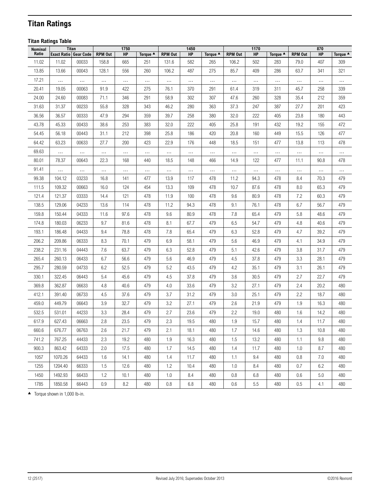## <span id="page-11-1"></span><span id="page-11-0"></span>**Titan Ratings**

### **Titan Ratings Table**

| Nominal | <b>Titan</b>                 |          |                | 1750     |          |                | 1450      |                     |                | 1170     |          |                | 870      |          |
|---------|------------------------------|----------|----------------|----------|----------|----------------|-----------|---------------------|----------------|----------|----------|----------------|----------|----------|
| Ratio   | <b>Exact Ratio Gear Code</b> |          | <b>RPM Out</b> | HP       | Torque ▲ | <b>RPM Out</b> | <b>HP</b> | Torque <sup>4</sup> | <b>RPM Out</b> | HP       | Torque ▲ | <b>RPM Out</b> | HP       | Torque ▲ |
| 11.02   | 11.02                        | 00033    | 158.8          | 665      | 251      | 131.6          | 582       | 265                 | 106.2          | 502      | 283      | 79.0           | 407      | 309      |
| 13.85   | 13.66                        | 00043    | 128.1          | 556      | 260      | 106.2          | 487       | 275                 | 85.7           | 409      | 286      | 63.7           | 341      | 321      |
| 17.21   | $\cdots$                     | $\ldots$ | $\cdots$       | $\ldots$ | $\cdots$ | $\ldots$       | $\cdots$  | $\cdots$            | $\cdots$       | $\cdots$ | $\cdots$ | $\cdots$       | $\cdots$ |          |
| 20.41   | 19.05                        | 00063    | 91.9           | 422      | 275      | 76.1           | 370       | 291                 | 61.4           | 319      | 311      | 45.7           | 258      | 339      |
| 24.00   | 24.60                        | 00083    | 71.1           | 346      | 291      | 58.9           | 302       | 307                 | 47.6           | 260      | 328      | 35.4           | 212      | 359      |
| 31.63   | 31.37                        | 00233    | 55.8           | 328      | 343      | 46.2           | 280       | 363                 | 37.3           | 247      | 387      | 27.7           | 201      | 423      |
| 36.56   | 36.57                        | 00333    | 47.9           | 294      | 359      | 39.7           | 258       | 380                 | 32.0           | 222      | 405      | 23.8           | 180      | 443      |
| 43.78   | 45.33                        | 00433    | 38.6           | 253      | 383      | 32.0           | 222       | 405                 | 25.8           | 191      | 432      | 19.2           | 155      | 472      |
| 54.45   | 56.18                        | 00443    | 31.1           | 212      | 398      | 25.8           | 186       | 420                 | 20.8           | 160      | 449      | 15.5           | 126      | 477      |
| 64.42   | 63.23                        | 00633    | 27.7           | 200      | 423      | 22.9           | 176       | 448                 | 18.5           | 151      | 477      | 13.8           | 113      | 478      |
| 69.63   | $\ldots$                     | $\ldots$ | $\cdots$       | $\cdots$ | $\ldots$ | $\cdots$       | $\cdots$  | $\cdots$            | $\cdots$       |          | $\cdots$ | $\cdots$       | $\cdots$ | $\cdots$ |
| 80.01   | 78.37                        | 00643    | 22.3           | 168      | 440      | 18.5           | 148       | 466                 | 14.9           | 122      | 477      | 11.1           | 90.8     | 478      |
| 91.41   | $\cdots$                     | $\ldots$ | $\cdots$       | $\cdots$ | $\cdots$ | $\cdots$       | $\cdots$  | $\cdots$            | $\cdots$       | $\cdots$ | $\cdots$ | $\cdots$       | $\cdots$ |          |
| 99.38   | 104.12                       | 03233    | 16.8           | 141      | 477      | 13.9           | 117       | 478                 | 11.2           | 94.3     | 478      | 8.4            | 70.3     | 479      |
| 111.5   | 109.32                       | 00663    | 16.0           | 124      | 454      | 13.3           | 109       | 478                 | 10.7           | 87.6     | 478      | $8.0\,$        | 65.3     | 479      |
| 121.4   | 121.37                       | 03333    | 14.4           | 121      | 478      | 11.9           | 100       | 478                 | 9.6            | 80.9     | 478      | 7.2            | 60.3     | 479      |
| 138.5   | 129.06                       | 04233    | 13.6           | 114      | 478      | 11.2           | 94.3      | 478                 | 9.1            | 76.1     | 478      | 6.7            | 56.7     | 479      |
| 159.8   | 150.44                       | 04333    | 11.6           | 97.6     | 478      | 9.6            | 80.9      | 478                 | 7.8            | 65.4     | 479      | 5.8            | 48.6     | 479      |
| 174.8   | 180.03                       | 06233    | 9.7            | 81.6     | 478      | 8.1            | 67.7      | 479                 | 6.5            | 54.7     | 479      | $4.8\,$        | 40.6     | 479      |
| 193.1   | 186.48                       | 04433    | 9.4            | 78.8     | 478      | 7.8            | 65.4      | 479                 | 6.3            | 52.8     | 479      | 4.7            | 39.2     | 479      |
| 206.2   | 209.86                       | 06333    | 8.3            | 70.1     | 479      | 6.9            | 58.1      | 479                 | 5.6            | 46.9     | 479      | 4.1            | 34.9     | 479      |
| 238.2   | 231.16                       | 04443    | 7.6            | 63.7     | 479      | 6.3            | 52.8      | 479                 | 5.1            | 42.6     | 479      | 3.8            | 31.7     | 479      |
| 265.4   | 260.13                       | 06433    | 6.7            | 56.6     | 479      | 5.6            | 46.9      | 479                 | 4.5            | 37.8     | 479      | 3.3            | 28.1     | 479      |
| 295.7   | 280.59                       | 04733    | 6.2            | 52.5     | 479      | 5.2            | 43.5      | 479                 | 4.2            | 35.1     | 479      | 3.1            | 26.1     | 479      |
| 330.1   | 322.45                       | 06443    | 5.4            | 45.6     | 479      | 4.5            | 37.8      | 479                 | 3.6            | 30.5     | 479      | 2.7            | 22.7     | 479      |
| 369.8   | 362.87                       | 06633    | 4.8            | 40.6     | 479      | 4.0            | 33.6      | 479                 | 3.2            | 27.1     | 479      | 2.4            | 20.2     | 480      |
| 412.1   | 391.40                       | 06733    | 4.5            | 37.6     | 479      | 3.7            | 31.2      | 479                 | 3.0            | 25.1     | 479      | 2.2            | 18.7     | 480      |
| 459.0   | 449.79                       | 06643    | 3.9            | 32.7     | 479      | 3.2            | 27.1      | 479                 | 2.6            | 21.9     | 479      | 1.9            | 16.3     | 480      |
| 532.5   | 531.01                       | 44233    | 3.3            | 28.4     | 479      | 2.7            | 23.6      | 479                 | 2.2            | 19.0     | 480      | 1.6            | 14.2     | 480      |
| 617.9   | 627.43                       | 06663    | 2.8            | 23.5     | 479      | 2.3            | 19.5      | 480                 | 1.9            | 15.7     | 480      | 1.4            | 11.7     | 480      |
| 660.6   | 676.77                       | 06763    | 2.6            | 21.7     | 479      | 2.1            | 18.1      | 480                 | 1.7            | 14.6     | 480      | 1.3            | 10.8     | 480      |
| 741.2   | 767.25                       | 44433    | 2.3            | 19.2     | 480      | 1.9            | 16.3      | 480                 | 1.5            | 13.2     | 480      | 1.1            | 9.8      | 480      |
| 900.3   | 863.42                       | 64333    | 2.0            | 17.5     | 480      | 1.7            | 14.5      | 480                 | 1.4            | 11.7     | 480      | 1.0            | 8.7      | 480      |
| 1057    | 1070.26                      | 64433    | 1.6            | 14.1     | 480      | 1.4            | 11.7      | 480                 | 1.1            | 9.4      | 480      | 0.8            | 7.0      | 480      |
| 1255    | 1204.40                      | 66333    | 1.5            | 12.6     | 480      | 1.2            | 10.4      | 480                 | 1.0            | 8.4      | 480      | 0.7            | 6.2      | 480      |
| 1450    | 1492.93                      | 66433    | 1.2            | 10.1     | 480      | 1.0            | 8.4       | 480                 | 0.8            | 6.8      | 480      | 0.6            | 5.0      | 480      |
| 1785    | 1850.58                      | 66443    | 0.9            | 8.2      | 480      | 0.8            | 6.8       | 480                 | 0.6            | 5.5      | 480      | 0.5            | 4.1      | 480      |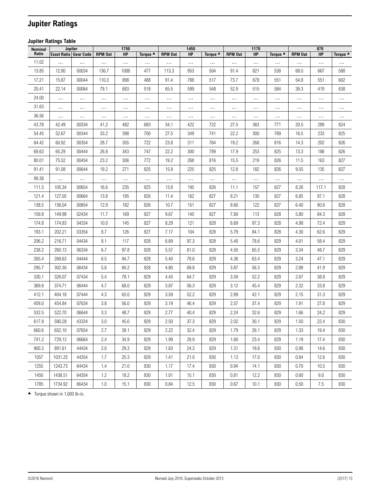## <span id="page-12-0"></span>**Jupiter Ratings**

### **Jupiter Ratings Table**

| Nominal |                              | Jupiter  |                | 1750      |                     |                | 1450      |                    |                | 1170      |                    |                | 870       |                    |
|---------|------------------------------|----------|----------------|-----------|---------------------|----------------|-----------|--------------------|----------------|-----------|--------------------|----------------|-----------|--------------------|
| Ratio   | <b>Exact Ratio Gear Code</b> |          | <b>RPM Out</b> | <b>HP</b> | Torque <sup>4</sup> | <b>RPM Out</b> | <b>HP</b> | Torque $\triangle$ | <b>RPM Out</b> | <b>HP</b> | Torque $\triangle$ | <b>RPM Out</b> | <b>HP</b> | Torque $\triangle$ |
| 11.02   | $\ldots$                     | $\ldots$ | $\cdots$       | $\ldots$  | $\cdots$            | $\cdots$       | $\ldots$  |                    |                |           |                    | $\cdots$       | $\ldots$  |                    |
| 13.85   | 12.80                        | 00034    | 136.7          | 1088      | 477                 | 113.3          | 953       | 504                | 91.4           | 821       | 538                | 68.0           | 667       | 588                |
| 17.21   | 15.87                        | 00044    | 110.3          | 898       | 488                 | 91.4           | 788       | 517                | 73.7           | 678       | 551                | 54.8           | 551       | 602                |
| 20.41   | 22.14                        | 00064    | 79.1           | 683       | 518                 | 65.5           | 599       | 548                | 52.9           | 515       | 584                | 39.3           | 419       | 638                |
| 24.00   | $\ldots$                     | $\ldots$ | $\cdots$       | $\cdots$  | $\ldots$            | $\cdots$       | $\ldots$  | $\cdots$           | $\cdots$       | $\cdots$  |                    | $\cdots$       | $\ldots$  |                    |
| 31.63   | $\cdots$                     | $\cdots$ | $\cdots$       | $\cdots$  | $\cdots$            | $\cdots$       | $\cdots$  | $\cdots$           | $\cdots$       |           |                    | $\cdots$       | $\cdots$  | $\cdots$           |
| 36.56   | $\cdots$                     | $\cdots$ | $\cdots$       | $\cdots$  | $\cdots$            | $\cdots$       | $\cdots$  | $\cdots$           | $\cdots$       | $\cdots$  |                    | $\cdots$       | $\cdots$  | $\cdots$           |
| 43.78   | 42.49                        | 00334    | 41.2           | 482       | 683                 | 34.1           | 422       | 722                | 27.5           | 363       | 771                | 20.5           | 289       | 824                |
| 54.45   | 52.67                        | 00344    | 33.2           | 398       | 700                 | 27.5           | 349       | 741                | 22.2           | 300       | 789                | 16.5           | 233       | 825                |
| 64.42   | 60.92                        | 00354    | 28.7           | 355       | 722                 | 23.8           | 311       | 764                | 19.2           | 268       | 816                | 14.3           | 202       | 826                |
| 69.63   | 65.29                        | 00444    | 26.8           | 343       | 747                 | 22.2           | 300       | 789                | 17.9           | 253       | 825                | 13.3           | 188       | 826                |
| 80.01   | 75.52                        | 00454    | 23.2           | 306       | 772                 | 19.2           | 268       | 816                | 15.5           | 219       | 826                | 11.5           | 163       | 827                |
| 91.41   | 91.08                        | 00644    | 19.2           | 271       | 825                 | 15.9           | 225       | 825                | 12.8           | 182       | 826                | 9.55           | 135       | 827                |
| 99.38   |                              | $\cdots$ | $\cdots$       | $\cdots$  | $\cdots$            | $\cdots$       |           |                    |                |           |                    |                |           | .                  |
| 111.5   | 105.34                       | 00654    | 16.6           | 235       | 825                 | 13.8           | 195       | 826                | 11.1           | 157       | 827                | 8.26           | 117.1     | 828                |
| 121.4   | 127.05                       | 00664    | 13.8           | 195       | 826                 | 11.4           | 162       | 827                | 9.21           | 130       | 827                | 6.85           | 97.1      | 828                |
| 138.5   | 136.04                       | 00854    | 12.9           | 182       | 826                 | 10.7           | 151       | 827                | 8.60           | 122       | 827                | 6.40           | 90.6      | 828                |
| 159.8   | 149.98                       | 02434    | 11.7           | 169       | 827                 | 9.67           | 140       | 827                | 7.80           | 113       | 828                | 5.80           | 84.3      | 828                |
| 174.8   | 174.83                       | 04334    | 10.0           | 145       | 827                 | 8.29           | 121       | 828                | 6.69           | 97.3      | 828                | 4.98           | 72.4      | 829                |
| 193.1   | 202.21                       | 03354    | 8.7            | 126       | 827                 | 7.17           | 104       | 828                | 5.79           | 84.1      | 828                | 4.30           | 62.6      | 829                |
| 206.2   | 216.71                       | 04434    | 8.1            | 117       | 828                 | 6.69           | 97.3      | 828                | 5.40           | 78.6      | 829                | 4.01           | 58.4      | 829                |
| 238.2   | 260.13                       | 06334    | 6.7            | 97.8      | 828                 | 5.57           | 81.0      | 828                | 4.50           | 65.5      | 829                | 3.34           | 48.7      | 829                |
| 265.4   | 268.63                       | 04444    | 6.5            | 94.7      | 828                 | 5.40           | 78.6      | 829                | 4.36           | 63.4      | 829                | 3.24           | 47.1      | 829                |
| 295.7   | 302.30                       | 06434    | 5.8            | 84.2      | 828                 | 4.80           | 69.8      | 829                | 3.87           | 56.3      | 829                | 2.88           | 41.9      | 829                |
| 330.1   | 326.07                       | 07434    | 5.4            | 78.1      | 829                 | 4.45           | 64.7      | 829                | 3.59           | 52.2      | 829                | 2.67           | 38.8      | 829                |
| 369.8   | 374.71                       | 06444    | 4.7            | 68.0      | 829                 | 3.87           | 56.3      | 829                | 3.12           | 45.4      | 829                | 2.32           | 33.8      | 829                |
| 412.1   | 404.18                       | 07444    | 4.3            | 63.0      | 829                 | 3.59           | 52.2      | 829                | 2.89           | 42.1      | 829                | 2.15           | 31.3      | 829                |
| 459.0   | 454.84                       | 07634    | 3.8            | 56.0      | 829                 | 3.19           | 46.4      | 829                | 2.57           | 37.4      | 829                | 1.91           | 27.8      | 829                |
| 532.5   | 522.70                       | 06644    | 3.3            | 48.7      | 829                 | 2.77           | 40.4      | 829                | 2.24           | 32.6      | 829                | 1.66           | 24.2      | 829                |
| 617.9   | 580.28                       | 43334    | 3.0            | 45.0      | 829                 | 2.50           | 37.3      | 829                | 2.02           | 30.1      | 829                | 1.50           | 22.4      | 830                |
| 660.6   | 652.10                       | 07654    | 2.7            | 39.1      | 829                 | 2.22           | 32.4      | 829                | 1.79           | 26.1      | 829                | 1.33           | 19.4      | 830                |
| 741.2   | 729.13                       | 06664    | 2.4            | 34.9      | 829                 | 1.99           | 28.9      | 829                | 1.60           | 23.4      | 829                | 1.19           | 17.4      | 830                |
| 900.3   | 891.61                       | 44434    | 2.0            | 29.3      | 829                 | 1.63           | 24.3      | 829                | 1.31           | 19.6      | 830                | 0.98           | 14.6      | 830                |
| 1057    | 1031.25                      | 44354    | 1.7            | 25.3      | 829                 | 1.41           | 21.0      | 830                | 1.13           | 17.0      | 830                | 0.84           | 12.6      | 830                |
| 1255    | 1243.73                      | 64434    | 1.4            | 21.0      | 830                 | 1.17           | 17.4      | 830                | 0.94           | 14.1      | 830                | 0.70           | 10.5      | 830                |
| 1450    | 1438.51                      | 64354    | 1.2            | 18.2      | 830                 | 1.01           | 15.1      | 830                | 0.81           | 12.2      | 830                | 0.60           | 9.0       | 830                |
| 1785    | 1734.92                      | 66434    | 1.0            | 15.1      | 830                 | 0.84           | 12.5      | 830                | 0.67           | 10.1      | 830                | 0.50           | 7.5       | 830                |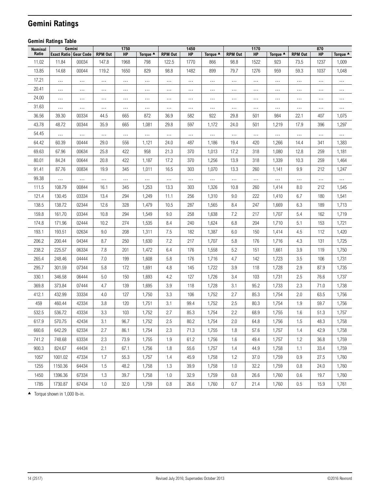## <span id="page-13-0"></span>**Gemini Ratings**

### **Gemini Ratings Table**

| Nominal |                              | Gemini   |                | 1750     |          |                | 1450      |                    |                | 1170     |                    |                | 870       |          |
|---------|------------------------------|----------|----------------|----------|----------|----------------|-----------|--------------------|----------------|----------|--------------------|----------------|-----------|----------|
| Ratio   | <b>Exact Ratio Gear Code</b> |          | <b>RPM Out</b> | HP       | Torque ▲ | <b>RPM Out</b> | <b>HP</b> | Torque $\triangle$ | <b>RPM Out</b> | HP       | Torque $\triangle$ | <b>RPM Out</b> | <b>HP</b> | Torque ▲ |
| 11.02   | 11.84                        | 00034    | 147.8          | 1968     | 798      | 122.5          | 1770      | 866                | 98.8           | 1522     | 923                | 73.5           | 1237      | 1,009    |
| 13.85   | 14.68                        | 00044    | 119.2          | 1650     | 829      | 98.8           | 1482      | 899                | 79.7           | 1276     | 959                | 59.3           | 1037      | 1,048    |
| 17.21   | $\cdots$                     | $\cdots$ | $\cdots$       | $\ldots$ | $\cdots$ | $\cdots$       | $\cdots$  | $\cdots$           | $\cdots$       | $\cdots$ | $\cdots$           | $\cdots$       | $\cdots$  | $\cdots$ |
| 20.41   | $\cdots$                     | $\ldots$ | $\ldots$       | $\cdots$ | $\cdots$ | $\cdots$       | $\ldots$  | $\cdots$           | $\cdots$       | $\cdots$ | $\cdots$           | $\cdots$       | $\cdots$  | $\ldots$ |
| 24.00   | $\cdots$                     | $\cdots$ | $\cdots$       | $\cdots$ | $\cdots$ | $\cdots$       | $\cdots$  |                    |                |          |                    | $\cdots$       | $\cdots$  |          |
| 31.63   | $\ldots$                     | $\cdots$ | $\ldots$       | $\cdots$ | $\cdots$ | $\cdots$       | $\cdots$  | $\cdots$           | $\cdots$       |          | $\cdots$           | $\cdots$       | $\cdots$  | $\cdots$ |
| 36.56   | 39.30                        | 00334    | 44.5           | 665      | 872      | 36.9           | 582       | 922                | 29.8           | 501      | 984                | 22.1           | 407       | 1,075    |
| 43.78   | 48.72                        | 00344    | 35.9           | 665      | 1,081    | 29.8           | 597       | 1,172              | 24.0           | 501      | 1,219              | 17.9           | 396       | 1,297    |
| 54.45   | $\cdots$                     | $\cdots$ | $\cdots$       | $\ldots$ | $\cdots$ | $\cdots$       | $\ldots$  | $\cdots$           | $\cdots$       |          | $\cdots$           | $\cdots$       | $\cdots$  |          |
| 64.42   | 60.39                        | 00444    | 29.0           | 556      | 1,121    | 24.0           | 487       | 1,186              | 19.4           | 420      | 1,266              | 14.4           | 341       | 1,383    |
| 69.63   | 67.96                        | 00634    | 25.8           | 422      | 958      | 21.3           | 370       | 1,013              | 17.2           | 318      | 1,080              | 12.8           | 259       | 1,181    |
| 80.01   | 84.24                        | 00644    | 20.8           | 422      | 1,187    | 17.2           | 370       | 1,256              | 13.9           | 318      | 1,339              | 10.3           | 259       | 1,464    |
| 91.41   | 87.76                        | 00834    | 19.9           | 345      | 1,011    | 16.5           | 303       | 1,070              | 13.3           | 260      | 1,141              | 9.9            | 212       | 1,247    |
| 99.38   | $\cdots$                     | $\cdots$ | $\cdots$       | $\cdots$ | $\cdots$ | $\cdots$       | $\ldots$  | $\cdots$           | $\cdots$       |          | $\cdots$           | $\cdots$       | $\cdots$  |          |
| 111.5   | 108.79                       | 00844    | 16.1           | 345      | 1,253    | 13.3           | 303       | 1,326              | 10.8           | 260      | 1,414              | 8.0            | 212       | 1,545    |
| 121.4   | 130.45                       | 03334    | 13.4           | 294      | 1,249    | 11.1           | 256       | 1,310              | 9.0            | 222      | 1,410              | 6.7            | 180       | 1,541    |
| 138.5   | 138.72                       | 02344    | 12.6           | 328      | 1,479    | 10.5           | 287       | 1,565              | 8.4            | 247      | 1,669              | 6.3            | 189       | 1,713    |
| 159.8   | 161.70                       | 03344    | 10.8           | 294      | 1,549    | 9.0            | 258       | 1,638              | 7.2            | 217      | 1,707              | 5.4            | 162       | 1,719    |
| 174.8   | 171.96                       | 02444    | 10.2           | 274      | 1,535    | 8.4            | 240       | 1,624              | 6.8            | 204      | 1,710              | 5.1            | 153       | 1,721    |
| 193.1   | 193.51                       | 02634    | 9.0            | 208      | 1,311    | 7.5            | 182       | 1,387              | 6.0            | 150      | 1,414              | 4.5            | 112       | 1,420    |
| 206.2   | 200.44                       | 04344    | 8.7            | 250      | 1,630    | 7.2            | 217       | 1,707              | 5.8            | 176      | 1,716              | 4.3            | 131       | 1,725    |
| 238.2   | 225.57                       | 06334    | 7.8            | 201      | 1,472    | 6.4            | 176       | 1,558              | 5.2            | 151      | 1,661              | 3.9            | 119       | 1,750    |
| 265.4   | 248.46                       | 04444    | 7.0            | 199      | 1,608    | 5.8            | 176       | 1,716              | 4.7            | 142      | 1,723              | 3.5            | 106       | 1,731    |
| 295.7   | 301.59                       | 07344    | 5.8            | 172      | 1,691    | 4.8            | 145       | 1,722              | 3.9            | 118      | 1,728              | 2.9            | 87.9      | 1,735    |
| 330.1   | 346.58                       | 06444    | 5.0            | 150      | 1,693    | 4.2            | 127       | 1,726              | 3.4            | 103      | 1,731              | 2.5            | 76.6      | 1,737    |
| 369.8   | 373.84                       | 07444    | 4.7            | 139      | 1,695    | 3.9            | 118       | 1,728              | 3.1            | 95.2     | 1,733              | 2.3            | 71.0      | 1,738    |
| 412.1   | 432.99                       | 33334    | 4.0            | 127      | 1,750    | 3.3            | 106       | 1,752              | 2.7            | 85.3     | 1,754              | 2.0            | 63.5      | 1,756    |
| 459     | 460.44                       | 42334    | 3.8            | 120      | 1,751    | 3.1            | 99.4      | 1,752              | 2.5            | 80.3     | 1,754              | 1.9            | 59.7      | 1,756    |
| 532.5   | 536.72                       | 43334    | 3.3            | 103      | 1,752    | 2.7            | 85.3      | 1,754              | 2.2            | 68.9     | 1,755              | 1.6            | 51.3      | 1,757    |
| 617.9   | 570.75                       | 42434    | 3.1            | 96.7     | 1,752    | 2.5            | 80.2      | 1,754              | 2.0            | 64.8     | 1,756              | 1.5            | 48.3      | 1,758    |
| 660.6   | 642.29                       | 62334    | 2.7            | 86.1     | 1,754    | 2.3            | 71.3      | 1,755              | 1.8            | 57.6     | 1,757              | 1.4            | 42.9      | 1,758    |
| 741.2   | 748.68                       | 63334    | 2.3            | 73.9     | 1,755    | 1.9            | 61.2      | 1,756              | 1.6            | 49.4     | 1,757              | 1.2            | 36.8      | 1,759    |
| 900.3   | 824.67                       | 44434    | 2.1            | 67.1     | 1,756    | 1.8            | 55.6      | 1,757              | 1.4            | 44.9     | 1,758              | 1.1            | 33.4      | 1,759    |
| 1057    | 1001.02                      | 47334    | 1.7            | 55.3     | 1,757    | 1.4            | 45.9      | 1,758              | 1.2            | 37.0     | 1,759              | 0.9            | 27.5      | 1,760    |
| 1255    | 1150.36                      | 64434    | 1.5            | 48.2     | 1,758    | 1.3            | 39.9      | 1,758              | 1.0            | 32.2     | 1,759              | 0.8            | 24.0      | 1,760    |
| 1450    | 1396.36                      | 67334    | 1.3            | 39.7     | 1,758    | 1.0            | 32.9      | 1,759              | 0.8            | 26.6     | 1,760              | 0.6            | 19.7      | 1,760    |
| 1785    | 1730.87                      | 67434    | 1.0            | 32.0     | 1,759    | 0.8            | 26.6      | 1,760              | 0.7            | 21.4     | 1,760              | 0.5            | 15.9      | 1,761    |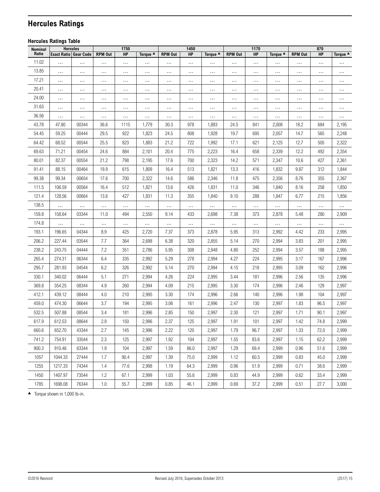## <span id="page-14-0"></span>**Hercules Ratings**

### <span id="page-14-1"></span>**Hercules Ratings Table**

| Nominal |                              | <b>Hercules</b> |                | 1750     |          |                | 1450      |                    |                | 1170     |          |                | 870      |                    |
|---------|------------------------------|-----------------|----------------|----------|----------|----------------|-----------|--------------------|----------------|----------|----------|----------------|----------|--------------------|
| Ratio   | <b>Exact Ratio Gear Code</b> |                 | <b>RPM Out</b> | HP       | Torque ▲ | <b>RPM Out</b> | <b>HP</b> | Torque $\triangle$ | <b>RPM Out</b> | HP       | Torque ▲ | <b>RPM Out</b> | HP       | Torque $\triangle$ |
| 11.02   | $\ldots$                     | $\ldots$        | $\cdots$       | $\cdots$ | $\cdots$ | $\cdots$       |           | $\cdots$           |                |          | $\cdots$ | $\cdots$       | $\ldots$ | $\ldots$           |
| 13.85   | $\cdots$                     | $\cdots$        | $\cdots$       | $\cdots$ | $\cdots$ | $\cdots$       |           | $\cdots$           | $\cdots$       | $\ldots$ | $\cdots$ | $\cdots$       | $\cdots$ | $\ldots$           |
| 17.21   | $\cdots$                     | $\ddotsc$       |                | $\ddots$ | $\cdots$ |                |           |                    |                |          | $\cdots$ |                | $\cdots$ |                    |
| 20.41   | $\cdots$                     | $\ldots$        | $\cdots$       | $\cdots$ | $\cdots$ | $\cdots$       | $\cdots$  | $\cdots$           | $\cdots$       | $\cdots$ | $\cdots$ | $\cdots$       | $\ldots$ | $\cdots$           |
| 24.00   | $\cdots$                     | $\cdots$        | $\cdots$       | $\cdots$ | $\ldots$ |                |           |                    |                |          | $\cdots$ |                | $\cdots$ |                    |
| 31.63   | $\cdots$                     | $\cdots$        | $\cdots$       | $\cdots$ | $\cdots$ |                |           |                    |                |          | $\cdots$ | $\cdots$       | $\cdots$ | $\cdots$           |
| 36.56   | $\ldots$                     | $\ldots$        | $\cdots$       | $\ldots$ | $\cdots$ | $\cdots$       |           | $\ldots$           | $\cdots$       | $\ldots$ | $\cdots$ | $\cdots$       | $\ldots$ | $\ldots$           |
| 43.78   | 47.80                        | 00344           | 36.6           | 1115     | 1,779    | 30.3           | 978       | 1,883              | 24.5           | 841      | 2,008    | 18.2           | 684      | 2,195              |
| 54.45   | 59.25                        | 00444           | 29.5           | 922      | 1,823    | 24.5           | 808       | 1,928              | 19.7           | 695      | 2,057    | 14.7           | 565      | 2,248              |
| 64.42   | 68.52                        | 00544           | 25.5           | 823      | 1,883    | 21.2           | 722       | 1,992              | 17.1           | 621      | 2,125    | 12.7           | 505      | 2,322              |
| 69.63   | 71.21                        | 00454           | 24.6           | 884      | 2,101    | 20.4           | 775       | 2,223              | 16.4           | 658      | 2,339    | 12.2           | 492      | 2,354              |
| 80.01   | 82.37                        | 00554           | 21.2           | 798      | 2,195    | 17.6           | 700       | 2,323              | 14.2           | 571      | 2,347    | 10.6           | 427      | 2,361              |
| 91.41   | 88.15                        | 00464           | 19.9           | 615      | 1,809    | 16.4           | 513       | 1,821              | 13.3           | 416      | 1,832    | 9.87           | 312      | 1,844              |
| 99.38   | 99.34                        | 00654           | 17.6           | 700      | 2,322    | 14.6           | 586       | 2,346              | 11.8           | 475      | 2,356    | 8.76           | 355      | 2,367              |
| 111.5   | 106.59                       | 00564           | 16.4           | 512      | 1,821    | 13.6           | 426       | 1,831              | 11.0           | 346      | 1,840    | 8.16           | 258      | 1,850              |
| 121.4   | 128.56                       | 00664           | 13.6           | 427      | 1,831    | 11.3           | 355       | 1,840              | 9.10           | 288      | 1,847    | 6.77           | 215      | 1,856              |
| 138.5   | $\cdots$                     | $\ldots$        | $\ldots$       | $\ldots$ | $\ldots$ | $\cdots$       |           | $\ldots$           | $\cdots$       | $\ldots$ | $\cdots$ | $\ldots$       | $\cdots$ | $\cdots$           |
| 159.8   | 158.64                       | 03344           | 11.0           | 494      | 2,550    | 9.14           | 433       | 2,698              | 7.38           | 373      | 2,878    | 5.48           | 280      | 2,909              |
| 174.8   | $\cdots$                     | $\cdots$        | $\cdots$       | $\cdots$ | $\ldots$ | $\cdots$       |           | $\cdots$           |                |          | $\cdots$ | $\cdots$       | $\cdots$ | $\cdots$           |
| 193.1   | 196.65                       | 04344           | 8.9            | 425      | 2,720    | 7.37           | 373       | 2,878              | 5.95           | 313      | 2,992    | 4.42           | 233      | 2,995              |
| 206.2   | 227.44                       | 03544           | 7.7            | 364      | 2,698    | 6.38           | 320       | 2,855              | 5.14           | 270      | 2,994    | 3.83           | 201      | 2,995              |
| 238.2   | 243.75                       | 04444           | 7.2            | 351      | 2,786    | 5.95           | 308       | 2,948              | 4.80           | 252      | 2,994    | 3.57           | 188      | 2,995              |
| 265.4   | 274.31                       | 06344           | 6.4            | 335      | 2,992    | 5.29           | 278       | 2,994              | 4.27           | 224      | 2,995    | 3.17           | 167      | 2,996              |
| 295.7   | 281.93                       | 04544           | 6.2            | 326      | 2,992    | 5.14           | 270       | 2,994              | 4.15           | 218      | 2,995    | 3.09           | 162      | 2,996              |
| 330.1   | 340.02                       | 06444           | 5.1            | 271      | 2,994    | 4.26           | 224       | 2,995              | 3.44           | 181      | 2,996    | 2.56           | 135      | 2,996              |
| 369.8   | 354.25                       | 08344           | 4.9            | 260      | 2,994    | 4.09           | 215       | 2,995              | 3.30           | 174      | 2,996    | 2.46           | 129      | 2,997              |
| 412.1   | 439.12                       | 08444           | $4.0$          | 210      | 2,995    | 3.30           | 174       | 2,996              | 2.66           | 140      | 2,996    | 1.98           | 104      | 2,997              |
| 459.0   | 474.30                       | 06644           | 3.7            | 194      | 2,995    | 3.06           | 161       | 2,996              | 2.47           | 130      | 2,997    | 1.83           | 96.5     | 2,997              |
| 532.5   | 507.88                       | 08544           | 3.4            | 181      | 2,996    | 2.85           | 150       | 2,997              | 2.30           | 121      | 2,997    | 1.71           | 90.1     | 2,997              |
| 617.9   | 612.53                       | 08644           | 2.9            | 150      | 2,996    | 2.37           | 125       | 2,997              | 1.91           | 101      | 2,997    | 1.42           | 74.8     | 2,999              |
| 660.6   | 652.70                       | 43344           | 2.7            | 145      | 2,996    | 2.22           | 120       | 2,997              | 1.79           | 96.7     | 2,997    | 1.33           | 72.0     | 2,999              |
| 741.2   | 754.91                       | 33544           | 2.3            | 125      | 2,997    | 1.92           | 104       | 2,997              | 1.55           | 83.6     | 2,997    | 1.15           | 62.2     | 2,999              |
| 900.3   | 910.46                       | 63344           | 1.9            | 104      | 2,997    | 1.59           | 86.0      | 2,997              | 1.29           | 69.4     | 2,999    | 0.96           | 51.6     | 2,999              |
| 1057    | 1044.33                      | 27444           | 1.7            | 90.4     | 2,997    | 1.39           | 75.0      | 2,999              | 1.12           | 60.5     | 2,999    | 0.83           | 45.0     | 2,999              |
| 1255    | 1217.33                      | 74344           | 1.4            | 77.6     | 2,998    | 1.19           | 64.3      | 2,999              | 0.96           | 51.9     | 2,999    | 0.71           | 38.6     | 2,999              |
| 1450    | 1407.97                      | 73544           | 1.2            | 67.1     | 2,999    | 1.03           | 55.6      | 2,999              | 0.83           | 44.9     | 2,999    | 0.62           | 33.4     | 2,999              |
| 1785    | 1698.08                      | 76344           | 1.0            | 55.7     | 2,999    | 0.85           | 46.1      | 2,999              | 0.69           | 37.2     | 2,999    | 0.51           | 27.7     | 3,000              |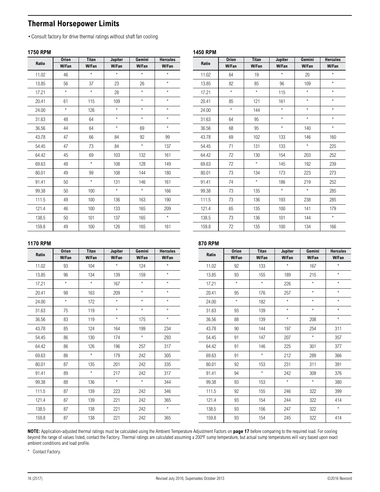### <span id="page-15-1"></span><span id="page-15-0"></span>**Thermal Horsepower Limits**

•Consult factory for drive thermal ratings without shaft fan cooling

### **1750 RPM**

|       | <b>Orion</b> | <b>Titan</b> | Jupiter | Gemini  | <b>Hercules</b> |
|-------|--------------|--------------|---------|---------|-----------------|
| Ratio | W/Fan        | W/Fan        | W/Fan   | W/Fan   | W/Fan           |
| 11.02 | 46           | $\star$      | $\star$ | $\star$ | $\star$         |
| 13.85 | 56           | 37           | 23      | 26      | $\star$         |
| 17.21 | $\star$      | $\star$      | 28      | $\star$ | $\star$         |
| 20.41 | 61           | 115          | 109     | $\star$ | $\star$         |
| 24.00 | $\star$      | 126          | $\star$ | $\star$ | $\star$         |
| 31.63 | 48           | 64           | $\star$ | $\star$ | $\star$         |
| 36.56 | 44           | 64           | $\star$ | 69      | $\star$         |
| 43.78 | 47           | 66           | 84      | 92      | 99              |
| 54.45 | 47           | 73           | 84      | $\star$ | 137             |
| 64.42 | 45           | 69           | 103     | 132     | 161             |
| 69.63 | 48           | $^\star$     | 108     | 128     | 149             |
| 80.01 | 49           | 99           | 108     | 144     | 180             |
| 91.41 | 50           | $\star$      | 131     | 146     | 161             |
| 99.38 | 50           | 100          | $\star$ | $\star$ | 166             |
| 111.5 | 49           | 100          | 136     | 163     | 190             |
| 121.4 | 46           | 100          | 133     | 165     | 209             |
| 138.5 | 50           | 101          | 137     | 165     | $\star$         |
| 159.8 | 49           | 100          | 126     | 165     | 161             |

| Ratio | <b>Orion</b> | <b>Titan</b> | Jupiter | Gemini  | <b>Hercules</b> |
|-------|--------------|--------------|---------|---------|-----------------|
|       | <b>W/Fan</b> | W/Fan        | W/Fan   | W/Fan   | W/Fan           |
| 11.02 | 64           | 19           | $\star$ | 20      | $\star$         |
| 13.85 | 82           | 85           | 96      | 109     | $\star$         |
| 17.21 | $\star$      | $\star$      | 115     | $\star$ | $\star$         |
| 20.41 | 85           | 121          | 161     | $\star$ | $\star$         |
| 24.00 | $\star$      | 144          | $\star$ | $\star$ | $\star$         |
| 31.63 | 64           | 95           | $\star$ | $\star$ | $\star$         |
| 36.56 | 68           | 95           | $\star$ | 140     | $\star$         |
| 43.78 | 69           | 102          | 133     | 146     | 160             |
| 54.45 | 71           | 131          | 133     | $\star$ | 225             |
| 64.42 | 72           | 130          | 154     | 203     | 252             |
| 69.63 | 72           | $\star$      | 145     | 192     | 239             |
| 80.01 | 73           | 134          | 173     | 223     | 273             |
| 91.41 | 74           | $\star$      | 186     | 219     | 252             |
| 99.38 | 73           | 135          | $\star$ | $\star$ | 285             |
| 111.5 | 73           | 136          | 193     | 238     | 285             |
| 121.4 | 65           | 135          | 100     | 141     | 179             |
| 138.5 | 73           | 136          | 101     | 144     | $\star$         |
| 159.8 | 72           | 135          | 100     | 134     | 166             |

### **1170 RPM**

|       | <b>Orion</b> | <b>Titan</b> | Jupiter | Gemini  | <b>Hercules</b> |       | <b>Orion</b> | <b>Tita</b>     |  |
|-------|--------------|--------------|---------|---------|-----------------|-------|--------------|-----------------|--|
| Ratio | W/Fan        | W/Fan        | W/Fan   | W/Fan   | W/Fan           | Ratio | W/Fan        | W/Fa            |  |
| 11.02 | 93           | 104          | $\star$ | 124     | $\star$         | 11.02 | 92           | 133             |  |
| 13.85 | 96           | 134          | 139     | 159     | $\star$         | 13.85 | 93           | 155             |  |
| 17.21 | $\star$      | $\star$      | 167     | $\star$ | $\star$         | 17.21 | $\star$      | $\star$         |  |
| 20.41 | 98           | 163          | 209     | $\star$ | $\star$         | 20.41 | 95           | 176             |  |
| 24.00 | $\star$      | 172          | $\star$ | $\star$ | $\star$         | 24.00 | $\star$      | 182             |  |
| 31.63 | 75           | 119          | $\star$ | $\star$ | $\star$         | 31.63 | 93           | 139             |  |
| 36.56 | 83           | 119          | $\star$ | 175     | $\star$         | 36.56 | 88           | 139             |  |
| 43.78 | 85           | 124          | 164     | 199     | 234             | 43.78 | 90           | 144             |  |
| 54.45 | 86           | 130          | 174     | $\star$ | 293             | 54.45 | 91           | 147             |  |
| 64.42 | 86           | 126          | 196     | 257     | 317             | 64.42 | 91           | 146             |  |
| 69.63 | 86           | $\star$      | 179     | 242     | 305             | 69.63 | 91           | $\star$         |  |
| 80.01 | 87           | 135          | 201     | 242     | 335             | 80.01 | 92           | 15 <sub>3</sub> |  |
| 91.41 | 89           | $\star$      | 217     | 242     | 317             | 91.41 | 94           | $\star$         |  |
| 99.38 | 88           | 136          | $\star$ | $\star$ | 344             | 99.38 | 93           | 15 <sub>3</sub> |  |
| 111.5 | 87           | 139          | 223     | 242     | 346             | 111.5 | 92           | 155             |  |
| 121.4 | 87           | 139          | 221     | 242     | 365             | 121.4 | 93           | 154             |  |
| 138.5 | 87           | 138          | 221     | 242     | $\star$         | 138.5 | 93           | 156             |  |
| 159.8 | 87           | 138          | 221     | 242     | 365             | 159.8 | 93           | 154             |  |
|       |              |              |         |         |                 |       |              |                 |  |

## **870 RPM**

**1450 RPM**

| Ratio | <b>Orion</b> | <b>Titan</b> | Jupiter | Gemini  | <b>Hercules</b> |
|-------|--------------|--------------|---------|---------|-----------------|
|       | W/Fan        | W/Fan        | W/Fan   | W/Fan   | W/Fan           |
| 11.02 | 92           | 133          | $\star$ | 167     | $\star$         |
| 13.85 | 93           | 155          | 189     | 215     | $\star$         |
| 17.21 | $\star$      | $\star$      | 226     | $\star$ | $\star$         |
| 20.41 | 95           | 176          | 257     | $\star$ | $\star$         |
| 24.00 | $^\star$     | 182          | $\star$ | $\star$ | $\star$         |
| 31.63 | 93           | 139          | $\star$ | $\star$ | $\star$         |
| 36.56 | 88           | 139          | $\star$ | 208     | $\star$         |
| 43.78 | 90           | 144          | 197     | 254     | 311             |
| 54.45 | 91           | 147          | 207     | $\star$ | 357             |
| 64.42 | 91           | 146          | 225     | 301     | 377             |
| 69.63 | 91           | $\star$      | 212     | 289     | 366             |
| 80.01 | 92           | 153          | 231     | 311     | 391             |
| 91.41 | 94           | $\star$      | 242     | 309     | 376             |
| 99.38 | 93           | 153          | $\star$ | $\star$ | 380             |
| 111.5 | 92           | 155          | 246     | 322     | 399             |
| 121.4 | 93           | 154          | 244     | 322     | 414             |
| 138.5 | 93           | 156          | 247     | 322     | $\star$         |
| 159.8 | 93           | 154          | 245     | 322     | 414             |

**NOTE:** Application-adjusted thermal ratings must be calculated using the Ambient Temperature Adjustment Factors on **[page 17](#page-16-1)** before comparing to the required load. For cooling beyond the range of values listed, contact the Factory. Thermal ratings are calculated assuming a 200ºF sump temperature, but actual sump temperatures will vary based upon exact ambient conditions and load profile.

\* Contact Factory.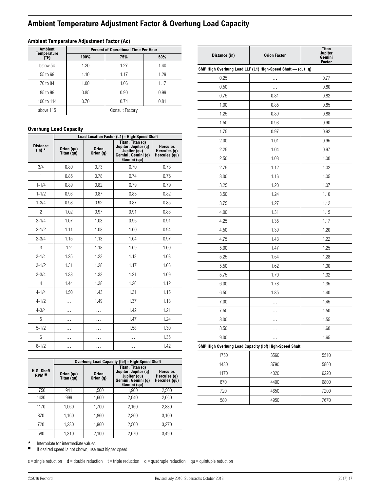### <span id="page-16-1"></span><span id="page-16-0"></span>**Ambient Temperature Adjustment Factor & Overhung Load Capacity**

| <b>Ambient</b>             | Percent of Operational Time Per Hour |                 |      |  |  |  |  |  |
|----------------------------|--------------------------------------|-----------------|------|--|--|--|--|--|
| <b>Temperature</b><br>(°F) | 100%                                 | 75%             | 50%  |  |  |  |  |  |
| below 54                   | 1.20                                 | 1.27            | 1.40 |  |  |  |  |  |
| 55 to 69                   | 1.10                                 | 1.17            | 1.29 |  |  |  |  |  |
| 70 to 84                   | 1.00                                 | 1.06            | 1.17 |  |  |  |  |  |
| 85 to 99                   | 0.85                                 | 0.90            | 0.99 |  |  |  |  |  |
| 100 to 114                 | 0.70                                 | 0.74            | 0.81 |  |  |  |  |  |
| above 115                  |                                      | Consult Factory |      |  |  |  |  |  |
|                            |                                      |                 |      |  |  |  |  |  |

### **Ambient Temperature Adjustment Factor (Ac)**

### **Overhung Load Capacity**

|                             |                          |                           | Load Location Factor (L1) - High-Speed Shaft                                                  |                                                  |  |  |
|-----------------------------|--------------------------|---------------------------|-----------------------------------------------------------------------------------------------|--------------------------------------------------|--|--|
| <b>Distance</b><br>$(in)$ * | Orion (qu)<br>Titan (qu) | <b>Orion</b><br>Orion (q) | Titan, Titan (q)<br>Jupiter, Jupiter (q)<br>Jupiter (qu)<br>Gemini, Gemini (q)<br>Gemini (qu) | <b>Hercules</b><br>Hercules (q)<br>Hercules (qu) |  |  |
| 3/4                         | 0.80                     | 0.73                      | 0.70                                                                                          | 0.73                                             |  |  |
| 1                           | 0.85                     | 0.78                      | 0.74                                                                                          | 0.76                                             |  |  |
| $1 - 1/4$                   | 0.89                     | 0.82                      | 0.79                                                                                          | 0.79                                             |  |  |
| $1 - 1/2$                   | 0.93                     | 0.87                      | 0.83                                                                                          | 0.82                                             |  |  |
| $1 - 3/4$                   | 0.98                     | 0.92                      | 0.87                                                                                          | 0.85                                             |  |  |
| $\overline{c}$              | 1.02                     | 0.97                      | 0.91                                                                                          | 0.88                                             |  |  |
| $2 - 1/4$                   | 1.07                     | 1.03                      | 0.96                                                                                          | 0.91                                             |  |  |
| $2 - 1/2$                   | 1.11                     | 1.08                      | 1.00                                                                                          | 0.94                                             |  |  |
| $2 - 3/4$                   | 1.15                     | 1.13                      | 1.04                                                                                          | 0.97                                             |  |  |
| 3                           | 1.2                      | 1.18                      | 1.09                                                                                          | 1.00                                             |  |  |
| $3 - 1/4$                   | 1.25                     | 1.23                      | 1.13                                                                                          | 1.03                                             |  |  |
| $3 - 1/2$                   | 1.31                     | 1.28                      | 1.17                                                                                          | 1.06                                             |  |  |
| $3 - 3/4$                   | 1.38                     | 1.33                      | 1.21                                                                                          | 1.09                                             |  |  |
| $\overline{4}$              | 1.44                     | 1.38                      | 1.26                                                                                          | 1.12                                             |  |  |
| $4 - 1/4$                   | 1.50                     | 1.43                      | 1.31                                                                                          | 1.15                                             |  |  |
| $4 - 1/2$                   | .                        | 1.49                      | 1.37                                                                                          | 1.18                                             |  |  |
| $4 - 3/4$                   | .                        | .                         | 1.42                                                                                          | 1.21                                             |  |  |
| 5                           | .                        | .                         | 1.47                                                                                          | 1.24                                             |  |  |
| $5 - 1/2$                   | .                        | .                         | 1.58                                                                                          | 1.30                                             |  |  |
| 6                           | .                        |                           |                                                                                               | 1.36                                             |  |  |
| $6 - 1/2$                   | .                        |                           | .                                                                                             | 1.42                                             |  |  |

|                   |                          |                           | Overhung Load Capacity (Ibf) - High-Speed Shaft                                               |                                                  |
|-------------------|--------------------------|---------------------------|-----------------------------------------------------------------------------------------------|--------------------------------------------------|
| H.S. Shaft<br>RPM | Orion (qu)<br>Titan (qu) | <b>Orion</b><br>Orion (q) | Titan, Titan (q)<br>Jupiter, Jupiter (q)<br>Jupiter (qu)<br>Gemini, Gemini (q)<br>Gemini (qu) | <b>Hercules</b><br>Hercules (q)<br>Hercules (gu) |
| 1750              | 941                      | 1,500                     | 1,900                                                                                         | 2,500                                            |
| 1430              | 999                      | 1,600                     | 2.040                                                                                         | 2,660                                            |
| 1170              | 1,060                    | 1.700                     | 2,160                                                                                         | 2,830                                            |
| 870               | 1,160                    | 1,860                     | 2,360                                                                                         | 3,100                                            |
| 720               | 1.230                    | 1.960                     | 2,500                                                                                         | 3.270                                            |
| 580               | 1,310                    | 2,100                     | 2,670                                                                                         | 3,490                                            |

| Distance (in) | <b>Orion Factor</b>                                          | Titan<br>Jupiter<br>Gemini<br>Factor |
|---------------|--------------------------------------------------------------|--------------------------------------|
|               | SMP High Overhung Load LLF (L1) High-Speed Shaft - (d, t, q) |                                      |
| 0.25          |                                                              | 0.77                                 |
| 0.50          | .                                                            | 0.80                                 |
| 0.75          | 0.81                                                         | 0.82                                 |
| 1.00          | 0.85                                                         | 0.85                                 |
| 1.25          | 0.89                                                         | 0.88                                 |
| 1.50          | 0.93                                                         | 0.90                                 |
| 1.75          | 0.97                                                         | 0.92                                 |
| 2.00          | 1.01                                                         | 0.95                                 |
| 2.25          | 1.04                                                         | 0.97                                 |
| 2.50          | 1.08                                                         | 1.00                                 |
| 2.75          | 1.12                                                         | 1.02                                 |
| 3.00          | 1.16                                                         | 1.05                                 |
| 3.25          | 1.20                                                         | 1.07                                 |
| 3.50          | 1.24                                                         | 1.10                                 |
| 3.75          | 1.27                                                         | 1.12                                 |
| 4.00          | 1.31                                                         | 1.15                                 |
| 4.25          | 1.35                                                         | 1.17                                 |
| 4.50          | 1.39                                                         | 1.20                                 |
| 4.75          | 1.43                                                         | 1.22                                 |
| 5.00          | 1.47                                                         | 1.25                                 |
| 5.25          | 1.54                                                         | 1.28                                 |
| 5.50          | 1.62                                                         | 1.30                                 |
| 5.75          | 1.70                                                         | 1.32                                 |
| 6.00          | 1.78                                                         | 1.35                                 |
| 6.50          | 1.85                                                         | 1.40                                 |
| 7.00          |                                                              | 1.45                                 |
| 7.50          |                                                              | 1.50                                 |
| 8.00          |                                                              | 1.55                                 |
| 8.50          |                                                              | 1.60                                 |
| 9.00          |                                                              | 1.65                                 |
|               | SMP High Overhung Load Capacity (Ibf) High-Speed Shaft       |                                      |
| 1750          | 3560                                                         | 5510                                 |
| 1430          | 3790                                                         | 5860                                 |
| 1170          | 4020                                                         | 6220                                 |
| 870           | 4400                                                         | 6800                                 |
| 720           | 4650                                                         | 7200                                 |
| 580           | 4950                                                         | 7670                                 |

Interpolate for intermediate values.

■ If desired speed is not shown, use next higher speed.

 $s =$ single reduction d = double reduction t = triple reduction q = quadruple reduction qu = quintuple reduction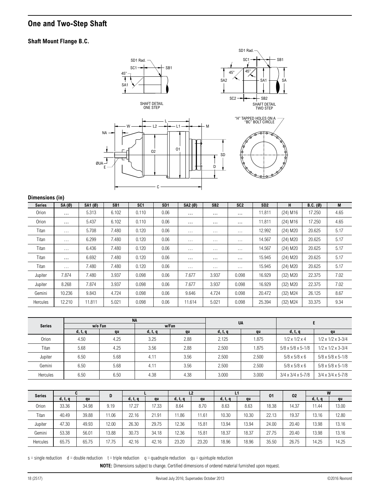### <span id="page-17-1"></span><span id="page-17-0"></span>**One and Two-Step Shaft**

### **Shaft Mount Flange B.C.**



#### **Dimensions (in)**

|               | . .                  |         |                 |                 |                 |          |                      |                 |                 |                        |            |      |
|---------------|----------------------|---------|-----------------|-----------------|-----------------|----------|----------------------|-----------------|-----------------|------------------------|------------|------|
| <b>Series</b> | SA(Ø)                | SA1 (Ø) | SB <sub>1</sub> | SC <sub>1</sub> | SD <sub>1</sub> | SA2 (Ø)  | SB <sub>2</sub>      | SC <sub>2</sub> | SD <sub>2</sub> | H                      | $B.C.$ (Ø) | M    |
| Orion         | $\cdots$             | 5.313   | 6.102           | 0.110           | 0.06            | $\cdots$ | $\cdots$             | $\cdots$        | 11.811          | $(24)$ M16             | 17.250     | 4.65 |
| Orion         | $\cdots$             | 5.437   | 6.102           | 0.110           | 0.06            | $\cdots$ | $\cdots$             | $\cdots$        | 11.811          | $(24)$ M16             | 17.250     | 4.65 |
| Titan         | $\sim$ $\sim$ $\sim$ | 5.708   | 7.480           | 0.120           | 0.06            | $\cdots$ | $\cdots$             | $\cdots$        | 12.992          | $(24)$ M20             | 20.625     | 5.17 |
| Titan         | $\ldots$             | 6.299   | 7.480           | 0.120           | 0.06            | $\cdots$ | $\cdots$             | $\cdots$        | 14.567          | $(24)$ M20             | 20.625     | 5.17 |
| Titan         | $\sim 10$            | 6.436   | 7.480           | 0.120           | 0.06            | $\cdots$ | $\sim$ $\sim$ $\sim$ | $\cdots$        | 14.567          | $(24)$ M20             | 20.625     | 5.17 |
| Titan         | $\cdots$             | 6.692   | 7.480           | 0.120           | 0.06            | $\cdots$ | $\cdots$             | $\cdots$        | 15.945          | $(24)$ M <sub>20</sub> | 20.625     | 5.17 |
| Titan         | $\sim 100$           | 7.480   | 7.480           | 0.120           | 0.06            | $\cdots$ | $\sim$ $\sim$        | $\cdots$        | 15.945          | $(24)$ M20             | 20.625     | 5.17 |
| Jupiter       | 7.874                | 7.480   | 3.937           | 0.098           | 0.06            | 7.677    | 3.937                | 0.098           | 16.929          | $(32)$ M20             | 22.375     | 7.02 |
| Jupiter       | 8.268                | 7.874   | 3.937           | 0.098           | 0.06            | 7.677    | 3.937                | 0.098           | 16.929          | $(32)$ M20             | 22.375     | 7.02 |
| Gemini        | 10.236               | 9.843   | 4.724           | 0.098           | 0.06            | 9.646    | 4.724                | 0.098           | 20.472          | $(32)$ M24             | 26.125     | 8.67 |
| Hercules      | 12.210               | 11.811  | 5.021           | 0.098           | 0.06            | 11.614   | 5.021                | 0.098           | 25.394          | $(32)$ M24             | 33.375     | 9.34 |

|               |         | <b>NA</b> |               |       |         | <b>UA</b> |                                 |                                 |  |
|---------------|---------|-----------|---------------|-------|---------|-----------|---------------------------------|---------------------------------|--|
| <b>Series</b> |         | w/o Fan   |               | w/Fan |         |           |                                 |                                 |  |
|               | d, t, q | qu        | d, t, q       | qu    | d, t, q | qu        | d, t, q                         | au                              |  |
| Orion         | 4.50    | 4.25      | 3.25          | 2.88  | 2.125   | 1.875     | $1/2 \times 1/2 \times 4$       | $1/2 \times 1/2 \times 3 - 3/4$ |  |
| Titan         | 5.68    | 4.25      | 3.56          | 2.88  | 2.500   | 1.875     | $5/8 \times 5/8 \times 5 - 1/8$ | $1/2 \times 1/2 \times 3 - 3/4$ |  |
| Jupiter       | 6.50    | 5.68      | 4.1'          | 3.56  | 2.500   | 2.500     | $5/8 \times 5/8 \times 6$       | $5/8 \times 5/8 \times 5 - 1/8$ |  |
| Gemini        | 6.50    | 5.68      | $4.1^{\circ}$ | 3.56  | 2.500   | 2.500     | $5/8 \times 5/8 \times 6$       | $5/8 \times 5/8 \times 5 - 1/8$ |  |
| Hercules      | 6.50    | 6.50      | 4.38          | 4.38  | 3.000   | 3.000     | $3/4 \times 3/4 \times 5 - 7/8$ | $3/4 \times 3/4 \times 5 - 7/8$ |  |

| <b>Series</b> |         |       | D     |         |       |         | L2    | L1      |       | 01    | 02    |         | W     |
|---------------|---------|-------|-------|---------|-------|---------|-------|---------|-------|-------|-------|---------|-------|
|               | d, t, q | qu    |       | d, t, q | qu    | d, t, q | qu    | d, t, q | qu    |       |       | d, t, q | qu    |
| Orion         | 33.36   | 34.98 | 9.19  | 17.27   | 17.33 | 8.64    | 8.70  | 8.63    | 8.63  | 18.38 | 14.37 | 11.44   | 13.00 |
| Titan         | 40.49   | 39.88 | 11.06 | 22.16   | 21.91 | 11.86   | 11.61 | 10.30   | 10.30 | 22.13 | 19.37 | 13.16   | 12.80 |
| Jupiter       | 47.30   | 49.93 | 12.00 | 26.30   | 29.75 | 12.36   | 15.81 | 13.94   | 13.94 | 24.00 | 20.40 | 13.98   | 13.16 |
| Gemini        | 53.38   | 56.01 | 13.88 | 30.73   | 34.18 | 12.36   | 15.81 | 18.37   | 18.37 | 27.75 | 20.40 | 13.98   | 13.16 |
| Hercules      | 65.75   | 65.75 | 17.75 | 42.16   | 42.16 | 23.20   | 23.20 | 18.96   | 18.96 | 35.50 | 26.75 | 14.25   | 14.25 |

 $s =$ single reduction d = double reduction  $t =$  triple reduction q = quadruple reduction qu = quintuple reduction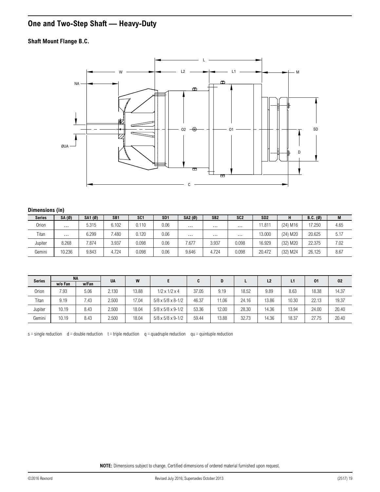## <span id="page-18-1"></span><span id="page-18-0"></span>**One and Two-Step Shaft — Heavy-Duty**

### **Shaft Mount Flange B.C.**



### **Dimensions (in)**

| <b>Series</b> | SA (Ø)   | SA1 (Ø) | SB <sub>1</sub> | SC <sub>1</sub> | SD <sub>1</sub> | SA2 (Ø)  | SB <sub>2</sub> | SC <sub>2</sub> | SD <sub>2</sub> | н                      | $B.C.$ (Ø) | M    |
|---------------|----------|---------|-----------------|-----------------|-----------------|----------|-----------------|-----------------|-----------------|------------------------|------------|------|
| Orion         | $\cdots$ | 5.315   | 6.102           | 0.110           | 0.06            | $\cdots$ | $\cdots$        | $\cdots$        | 11.811          | $(24)$ M <sub>16</sub> | 17.250     | 4.65 |
| Titan         | $\cdots$ | 6.299   | 480             | 0.120           | 0.06            | $\cdots$ | $\cdots$        | $\cdots$        | 13.000          | (24) M20               | 20.625     | 5.17 |
| Jupiter       | 8.268    | 7.874   | 3.937           | 0.098           | 0.06            | /.677    | 3.937           | 0.098           | 16.929          | (32) M20               | 22.375     | 7.02 |
| Gemini        | 10.236   | 9.843   | 4.724           | 0.098           | 0.06            | 9.646    | 4.724           | 0.098           | 20.472          | (32) M24               | 26.125     | 8.67 |

| <b>Series</b> |         | <b>NA</b> | <b>UA</b> | W     |                                 | C     |       |       | L2    | L1    | 01    | 02    |
|---------------|---------|-----------|-----------|-------|---------------------------------|-------|-------|-------|-------|-------|-------|-------|
|               | w/o Fan | w/Fan     |           |       |                                 |       |       |       |       |       |       |       |
| Orion         | 7.93    | 5.06      | 2.130     | 13.88 | $1/2 \times 1/2 \times 4$       | 37.05 | 9.19  | 18.52 | 9.89  | 8.63  | 18.38 | 14.37 |
| Titan         | 9.19    | 7.43      | 2.500     | 17.04 | $5/8 \times 5/8 \times 8 - 1/2$ | 46.37 | 11.06 | 24.16 | 13.86 | 10.30 | 22.13 | 19.37 |
| Jupiter       | 10.19   | 8.43      | 2.500     | 18.04 | $5/8 \times 5/8 \times 9 - 1/2$ | 53.36 | 12.00 | 28.30 | 14.36 | 13.94 | 24.00 | 20.40 |
| Gemini        | 10.19   | 8.43      | 2.500     | 18.04 | $5/8 \times 5/8 \times 9 - 1/2$ | 59.44 | 13.88 | 32.73 | 14.36 | 18.37 | 27.75 | 20.40 |

 $s =$ single reduction d = double reduction t = triple reduction q = quadruple reduction qu = quintuple reduction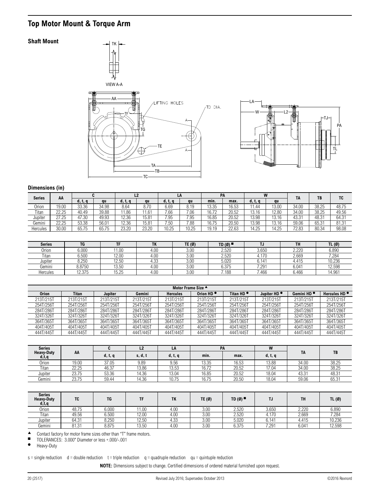## <span id="page-19-1"></span><span id="page-19-0"></span>**Top Motor Mount & Torque Arm**

### **Shaft Mount**





### **Dimensions (in)**

| AA<br><b>Series</b> |       |         |       | L <sub>2</sub> | LA    |         | <b>PA</b> |       |       | W       | <b>TA</b> | TB    | TC    |       |
|---------------------|-------|---------|-------|----------------|-------|---------|-----------|-------|-------|---------|-----------|-------|-------|-------|
|                     |       | d, t, q | au    | d, t, q        | au    | d, t, q | au        | min.  | max.  | d, t, q | au        |       |       |       |
| Orion               | 19.00 | 33.36   | 34.98 | 8.64           | 8.70  | 6.69    | 8.19      | 13.35 | 16.53 | 1.44    | 13.00     | 34.00 | 38.25 | 48.75 |
| Titan               | 22.25 | 40.49   | 39.88 | 11.86          | 1.61  | 7.66    | 7.06      | 16.72 | 20.52 | 13.16   | 12.80     | 34.00 | 38.25 | 49.56 |
| Jupiter             | 27.25 | 47.30   | 49.93 | 12.36          | 15.81 | 7.95    | 7.95      | 16.85 | 20.52 | 13.98   | 13.16     | 43.31 | 48.31 | 64.31 |
| Gemini              | 22.25 | 53.38   | 56.01 | 12.36          | 15.81 | 7.50    | 7.88      | 16.75 | 20.50 | 13.98   | 13.16     | 59.06 | 65.31 | 81.31 |
| Hercules            | 30.00 | 65.75   | 65.75 | 23.20          | 23.20 | 10.25   | 10.25     | 19.19 | 22.63 | 14.25   | 14.25     | 72.83 | 80.34 | 98.08 |

| <b>Series</b> | TG     | <b>THE</b>     | ÷.,<br>ın | TE (Ø) | TD (Ø) I | IJ                | TH             | TL (Ø) |
|---------------|--------|----------------|-----------|--------|----------|-------------------|----------------|--------|
| Orion         | 6.000  | 1.00           | 4.00      | 3.00   | 2.520    | 3.650             | 2.220          | 6.890  |
| Titan         | 6.500  | 12.00          | 4.00      | 3.00   | 2.520    | 4.170             | 2.669          | 7.284  |
| Jupiter       | 8.250  | 12.50          | ن3.4      | 3.00   | 5.020    | 0.111<br>14<br>υ. | 4.415          | 10.236 |
| Gemini        | 8.8750 | 13.50          | 4.00      | 3.00   | 6.375    | 7.291             | $6.04^{\circ}$ | 12.598 |
| Hercules      | 12.375 | 15.25<br>ا ب∠. | 4.00      | 3.00   | 7.188    | 7.466             | 6.466          | 14.961 |

|              | Motor Frame Size ▲ |           |           |                 |                       |                       |                         |                        |                          |  |  |  |  |  |
|--------------|--------------------|-----------|-----------|-----------------|-----------------------|-----------------------|-------------------------|------------------------|--------------------------|--|--|--|--|--|
| <b>Orion</b> | Titan              | Jupiter   | Gemini    | <b>Hercules</b> | Orion HD <sup>®</sup> | Titan HD <sup>®</sup> | Jupiter HD <sup>®</sup> | Gemini HD <sup>®</sup> | Hercules HD <sup>®</sup> |  |  |  |  |  |
| 213T/215T    | 213T/215T          | 213T/215T | 213T/215T | 213T/215T       | 213T/215T             | 213T/215T             | 213T/215T               | 213T/215T              | 213T/215T                |  |  |  |  |  |
| 254T/256T    | 254T/256T          | 254T/256T | 254T/256T | 254T/256T       | 254T/256T             | 254T/256T             | 254T/256T               | 254T/256T              | 254T/256T                |  |  |  |  |  |
| 284T/286T    | 284T/286T          | 284T/286T | 284T/286T | 284T/286T       | 284T/286T             | 284T/286T             | 284T/286T               | 284T/286T              | 284T/286T                |  |  |  |  |  |
| 324T/326T    | 324T/326T          | 324T/326T | 324T/326T | 324T/326T       | 324T/326T             | 324T/326T             | 324T/326T               | 324T/326T              | 324T/326T                |  |  |  |  |  |
| 364T/365T    | 364T/365T          | 364T/365T | 364T/365T | 364T/365T       | 364T/365T             | 364T/365T             | 364T/365T               | 364T/365T              | 364T/365T                |  |  |  |  |  |
| 404T/405T    | 404T/405T          | 404T/405T | 404T/405T | 404T/405T       | 404T/405T             | 404T/405T             | 404T/405T               | 404T/405T              | 404T/405T                |  |  |  |  |  |
| 444T/445T    | 444T/445T          | 444T/445T | 444T/445T | 444T/445T       | 444T/445T             | 444T/445T             | 444T/445T               | 444T/445T              | 444T/445T                |  |  |  |  |  |

| <b>Series</b> | <b>Heavy-Duty</b><br>AA       |         | L2             | LA      | <b>PA</b> |       | W       |       |       |
|---------------|-------------------------------|---------|----------------|---------|-----------|-------|---------|-------|-------|
| d, t, q       |                               | d, t, q | <b>S, d, ւ</b> | d, t, q | min.      | max.  | d, t, q | TA    | TB    |
| Orion         | 19.00                         | 37.05   | 9.89           | 9.56    | 13.35     | 16.53 | 13.88   | 34.00 | 38.25 |
| Titan         | 000T<br>- ا<br>LL.LJ          | 46.37   | 13.86          | 13.53   | 16.72     | 20.52 | 17.04   | 34.00 | 38.25 |
| Jupiter       | 22 ZE<br>$\sqrt{2}$<br>20.IJ  | 53.36   | 14.36          | 13.04   | 16.85     | 20.52 | 18.04   | 43.31 | 48.31 |
| Gemini        | 00.75<br>$\sqrt{2}$<br>20.I J | 59.44   | 4.36           | 10.75   | 16.75     | 20.50 | 18.04   | 59.06 | 65.31 |

| <b>Series</b><br><b>Heavy-Duty</b><br>d, t, q | <b>TC</b>       | <b>TG</b> | TF    | TK   | TE $(0)$ | TD(Ø) | TJ    | TH    | TL $(\emptyset)$ |
|-----------------------------------------------|-----------------|-----------|-------|------|----------|-------|-------|-------|------------------|
| Orion                                         | 48.75           | 6.000     | 1.00  | 4.00 | 3.00     | 2.520 | 3.650 | 2.220 | 6.890            |
| Titan                                         | 49.56           | 6.500     | 12.00 | 4.00 | 3.00     | 2.520 | 4.170 | 2.669 | 7.284            |
| Jupiter                                       | 64.31           | 8.250     | 12.50 | 4.33 | 3.00     | 5.020 | 6.141 | 4.415 | 10.236           |
| Gemini                                        | 01, 01<br>8 I.J | 8.875     | 13.50 | 4.00 | 3.00     | 6.375 | 7.291 | 6.041 | 12.598           |

▲ Contact factory for motor frame sizes other than "T" frame motors.<br>■ TOLERANCES: 3.000" Diameter or less + 000/-001

■ TOLERANCES: 3.000" Diameter or less +.000/-.001

● Heavy-Duty

 $s =$ single reduction d = double reduction t = triple reduction q = quadruple reduction qu = quintuple reduction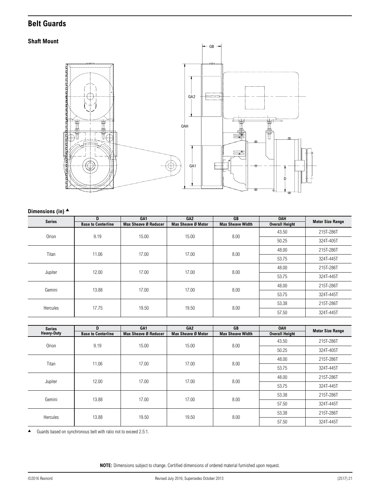### <span id="page-20-1"></span><span id="page-20-0"></span>**Belt Guards**

### **Shaft Mount**



### **Dimensions (in)** ▲

| <b>Series</b> | D                         | GA <sub>1</sub>      | GA <sub>2</sub>    | <b>GB</b>               | <b>OAH</b>            | <b>Motor Size Range</b> |
|---------------|---------------------------|----------------------|--------------------|-------------------------|-----------------------|-------------------------|
|               | <b>Base to Centerline</b> | Max Sheave Ø Reducer | Max Sheave Ø Motor | <b>Max Sheave Width</b> | <b>Overall Height</b> |                         |
| Orion         | 9.19                      | 15.00                | 15.00              | 8.00                    | 43.50                 | 215T-286T               |
|               |                           |                      |                    |                         | 50.25                 | 324T-405T               |
| Titan         | 11.06                     | 17.00                | 17.00              | 8.00                    | 48.00                 | 215T-286T               |
|               |                           |                      |                    |                         | 53.75                 | 324T-445T               |
|               | 12.00                     | 17.00                | 17.00              | 8.00                    | 48.00                 | 215T-286T               |
| Jupiter       |                           |                      |                    |                         | 53.75                 | 324T-445T               |
| Gemini        |                           | 17.00                | 17.00              |                         | 48.00                 | 215T-286T               |
|               | 13.88                     |                      |                    | 8.00                    | 53.75                 | 324T-445T               |
|               |                           |                      |                    |                         | 53.38                 | 215T-286T               |
| Hercules      | 17.75                     | 19.50                | 19.50              | 8.00                    | 57.50                 | 324T-445T               |

| <b>Series</b>     | D                         | GA <sub>1</sub>      | GA <sub>2</sub>    | <b>GB</b>               | <b>OAH</b>            | <b>Motor Size Range</b> |
|-------------------|---------------------------|----------------------|--------------------|-------------------------|-----------------------|-------------------------|
| <b>Heavy-Duty</b> | <b>Base to Centerline</b> | Max Sheave Ø Reducer | Max Sheave Ø Motor | <b>Max Sheave Width</b> | <b>Overall Height</b> |                         |
| Orion             | 9.19                      | 15.00                | 15.00              | 8.00                    | 43.50                 | 215T-286T               |
|                   |                           |                      |                    |                         | 50.25                 | 324T-405T               |
| Titan             | 11.06                     | 17.00                | 17.00              | 8.00                    | 48.00                 | 215T-286T               |
|                   |                           |                      |                    |                         | 53.75                 | 324T-445T               |
|                   |                           |                      |                    |                         | 48.00                 | 215T-286T               |
| Jupiter           | 12.00                     | 17.00                | 17.00              | 8.00                    | 53.75                 | 324T-445T               |
| Gemini            | 13.88                     | 17.00                | 17.00              | 8.00                    | 53.38                 | 215T-286T               |
|                   |                           |                      |                    |                         | 57.50                 | 324T-445T               |
|                   | 13.88                     | 19.50                | 19.50              | 8.00                    | 53.38                 | 215T-286T               |
| Hercules          |                           |                      |                    |                         | 57.50                 | 324T-445T               |

▲ Guards based on synchronous belt with ratio not to exceed 2.5:1.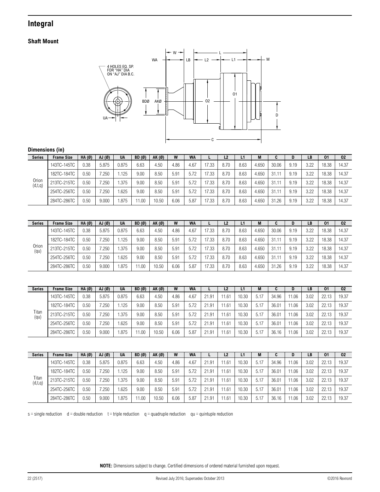### <span id="page-21-0"></span>**Integral**

### **Shaft Mount**



### **Dimensions (in)**

| <b>Series</b>    | <b>Frame Size</b> | $HA(\emptyset)$ | AJ(Ø) | <b>UA</b> | BD(0) | AK(Ø) | W    | <b>WA</b> |       | L <sub>2</sub> | L1   | M     |       | υ    | LB   | 01    | 02    |
|------------------|-------------------|-----------------|-------|-----------|-------|-------|------|-----------|-------|----------------|------|-------|-------|------|------|-------|-------|
|                  | 143TC-145TC       | 0.38            | 5.875 | 0.875     | 6.63  | 4.50  | 4.86 | 4.67      | 17.33 | 8.70           | 8.63 | 4.650 | 30.06 | 9.19 | 3.22 | 18.38 | 14.37 |
|                  | 182TC-184TC       | 0.50            | .250  | l.125     | 9.00  | 8.50  | 5.91 | 5.72      | 17.33 | 8.70           | 8.63 | 4.650 | 31.11 | 9.19 | 3.22 | 18.38 | 14.37 |
| Orion<br>(d,t,q) | 213TC-215TC       | 0.50            | .250  | .375      | 9.00  | 8.50  | 5.91 | 5.72      | 17.33 | 8.70           | 8.63 | 4.650 | 31.11 | 9.19 | 3.22 | 18.38 | 14.37 |
|                  | 254TC-256TC       | 0.50            | 1.250 | 1.625     | 9.00  | 8.50  | 5.91 | 5.72      | 17.33 | 8.70           | 8.63 | 4.650 | 31.11 | 9.19 | 3.22 | 18.38 | 14.37 |
|                  | 284TC-286TC       | 0.50            | 9.000 | .875      | 1.00  | 10.50 | 6.06 | 5.87      | 17.33 | 8.70           | 8.63 | 4.650 | 31.26 | 9.19 | 3.22 | 18.38 | 14.37 |

| <b>Series</b> | <b>Frame Size</b> | $HA(\emptyset)$ | AJ(Ø)       | <b>UA</b> | BD(Ø) | AK(Ø) | W    | <b>WA</b> |       | L <sub>2</sub> | L1   | М     | u     | D    | LB   | 01    | 02    |
|---------------|-------------------|-----------------|-------------|-----------|-------|-------|------|-----------|-------|----------------|------|-------|-------|------|------|-------|-------|
|               | 143TC-145TC       | 0.38            | 5.875       | 0.875     | 6.63  | 4.50  | 4.86 | 4.67      | 17.33 | 8.70           | 8.63 | 4.650 | 30.06 | 9.19 | 3.22 | 18.38 | 14.37 |
|               | 182TC-184TC       | 0.50            | $250^\circ$ | 1.125     | 9.00  | 8.50  | 5.91 | 5.72      | 17.33 | 8.70           | 8.63 | 4.650 | 31.11 | 9.19 | 3.22 | 18.38 | 14.37 |
| Orion<br>(qu) | 213TC-215TC       | 0.50            | 7.250       | 1.375     | 9.00  | 8.50  | 5.91 | 5.72      | 17.33 | 8.70           | 8.63 | 4.650 | 31.11 | 9.19 | 3.22 | 18.38 | 14.37 |
|               | 254TC-256TC       | 0.50            | 7.250       | . 625     | 9.00  | 8.50  | 5.91 | 5.72      | 17.33 | 8.70           | 8.63 | 4.650 | 31.11 | 9.19 | 3.22 | 18.38 | 14.37 |
|               | 284TC-286TC       | 0.50            | 9.000       | .875      | 1.00  | 10.50 | 6.06 | 5.87      | 17.33 | 8.70           | 8.63 | 4.650 | 31.26 | 9.19 | 3.22 | 18.38 | 14.37 |

| <b>Series</b> | <b>Frame Size</b> | $HA(\emptyset)$ | AJ(Ø)            | <b>UA</b> | BD(0) | AK(Ø) | W    | <b>WA</b> | ь.    | L <sub>2</sub> | L1    | М    | u     | D     | LB   | 01    | 02    |
|---------------|-------------------|-----------------|------------------|-----------|-------|-------|------|-----------|-------|----------------|-------|------|-------|-------|------|-------|-------|
|               | 143TC-145TC       | 0.38            | 5.875            | 0.875     | 6.63  | 4.50  | 4.86 | 4.67      | 21.91 | 11.61          | 10.30 | 5.17 | 34.96 | 1.06  | 3.02 | 22.13 | 19.37 |
|               | 182TC-184TC       | 0.50            | $^{\prime}$ .250 | .125      | 9.00  | 8.50  | 5.91 | 5.72      | 21.91 | 11.61          | 10.30 | 5.17 | 36.01 | 1.06  | 3.02 | 22.13 | 19.37 |
| Titan<br>(qu) | 213TC-215TC       | 0.50            | $^{\prime}$ .250 | .375      | 9.00  | 8.50  | 5.91 | 5.72      | 21.91 | 11.61          | 10.30 | 5.17 | 36.01 | 1.06  | 3.02 | 22.13 | 19.37 |
|               | 254TC-256TC       | 0.50            | 7.250            | .625      | 9.00  | 8.50  | 5.91 | 5.72      | 21.91 | 11.61          | 10.30 | 5.17 | 36.01 | 11.06 | 3.02 | 22.13 | 19.37 |
|               | 284TC-286TC       | 0.50            | 9.000            | .875      | 11.00 | 10.50 | 6.06 | 5.87      | 21.91 | 11.61          | 10.30 | 5.17 | 36.16 | 1.06  | 3.02 | 22.13 | 19.37 |

| <b>Series</b>    | <b>Frame Size</b> | HA(0) | AJ(Ø)       | <b>UA</b> | BD(0) | AK (Ø) | W    | <b>WA</b> |       | L2   | L1    | M    |       | D     | LB   | 01    | 02    |
|------------------|-------------------|-------|-------------|-----------|-------|--------|------|-----------|-------|------|-------|------|-------|-------|------|-------|-------|
|                  | 143TC-145TC       | 0.38  | 5.875       | 0.875     | 6.63  | 4.50   | 4.86 | 4.67      | 21.91 | 1.61 | 10.30 | 5.17 | 34.96 | 1.06  | 3.02 | 22.1  | 19.37 |
|                  | 182TC-184TC       | 0.50  | .250        | l.125     | 9.00  | 8.50   | 5.91 | 5.72      | 21.91 | 1.61 | 10.30 | 5.17 | 36.01 | 11.06 | 3.02 | 22.13 | 19.37 |
| Titan<br>(d,t,q) | 213TC-215TC       | 0.50  | $250^\circ$ | 1.375     | 9.00  | 8.50   | 5.91 | 5.72      | 21.91 | 1.61 | 10.30 | 5.17 | 36.01 | 11.06 | 3.02 | 22.13 | 19.37 |
|                  | 254TC-256TC       | 0.50  | 7.250       | .625      | 9.00  | 8.50   | 5.91 | 5.72      | 21.91 | 1.61 | 10.30 | 5.17 | 36.01 | 11.06 | 3.02 | 22.13 | 19.37 |
|                  | 284TC-286TC       | 0.50  | 9.000       | i.875     | 11.00 | 10.50  | 6.06 | 5.87      | 21.91 | 1.61 | 10.30 | 5.17 | 36.16 | 1.06  | 3.02 | 22.1  | 19.37 |

 $s =$  single reduction d = double reduction  $t =$  triple reduction q = quadruple reduction qu = quintuple reduction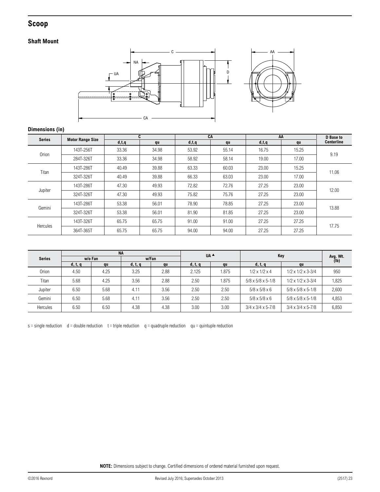### <span id="page-22-1"></span><span id="page-22-0"></span>**Scoop**

### **Shaft Mount**



### **Dimensions (in)**

| <b>Series</b>   | <b>Motor Range Size</b> |         | C.    | CA      |       | AA      |       | D Base to         |
|-----------------|-------------------------|---------|-------|---------|-------|---------|-------|-------------------|
|                 |                         | d, t, q | qu    | d, t, q | qu    | d, t, q | qu    | <b>Centerline</b> |
| Orion           | 143T-256T               | 33.36   | 34.98 | 53.92   | 55.14 | 16.75   | 15.25 | 9.19              |
|                 | 284T-326T               | 33.36   | 34.98 | 58.92   | 58.14 | 19.00   | 17.00 |                   |
| Titan           | 143T-286T               | 40.49   | 39.88 | 63.33   | 60.03 | 23.00   | 15.25 | 11.06             |
|                 | 324T-326T               | 40.49   | 39.88 | 66.33   | 63.03 | 23.00   | 17.00 |                   |
| Jupiter         | 143T-286T               | 47.30   | 49.93 | 72.82   | 72.76 | 27.25   | 23.00 | 12.00             |
|                 | 324T-326T               | 47.30   | 49.93 | 75.82   | 75.76 | 27.25   | 23.00 |                   |
| Gemini          | 143T-286T               | 53.38   | 56.01 | 78.90   | 78.85 | 27.25   | 23.00 | 13.88             |
|                 | 324T-326T               | 53.38   | 56.01 | 81.90   | 81.85 | 27.25   | 23.00 |                   |
|                 | 143T-326T               | 65.75   | 65.75 | 91.00   | 91.00 | 27.25   | 27.25 | 17.75             |
| <b>Hercules</b> | 364T-365T               | 65.75   | 65.75 | 94.00   | 94.00 | 27.25   | 27.25 |                   |

|                 |         |         | <b>NA</b> |       |         | UA ▲  |                                 |                                 |                  |
|-----------------|---------|---------|-----------|-------|---------|-------|---------------------------------|---------------------------------|------------------|
| <b>Series</b>   |         | w/o Fan |           | w/Fan |         |       |                                 | Key                             | Avg. Wt.<br>(lb) |
|                 | d, t, q | qu      | d, t, q   | qu    | d, t, q | qu    | d, t, q                         | qu                              |                  |
| Orion           | 4.50    | 4.25    | 3.25      | 2.88  | 2.125   | 1.875 | $1/2 \times 1/2 \times 4$       | $1/2 \times 1/2 \times 3 - 3/4$ | 950              |
| Titan           | 5.68    | 4.25    | 3.56      | 2.88  | 2.50    | 1.875 | $5/8 \times 5/8 \times 5 - 1/8$ | $1/2 \times 1/2 \times 3 - 3/4$ | 1,825            |
| Jupiter         | 6.50    | 5.68    | 4.11      | 3.56  | 2.50    | 2.50  | $5/8 \times 5/8 \times 6$       | $5/8 \times 5/8 \times 5 - 1/8$ | 2,600            |
| Gemini          | 6.50    | 5.68    | 4.11      | 3.56  | 2.50    | 2.50  | $5/8 \times 5/8 \times 6$       | $5/8 \times 5/8 \times 5 - 1/8$ | 4,853            |
| <b>Hercules</b> | 6.50    | 6.50    | 4.38      | 4.38  | 3.00    | 3.00  | $3/4 \times 3/4 \times 5 - 7/8$ | $3/4 \times 3/4 \times 5 - 7/8$ | 6,850            |

 $s =$  single reduction d = double reduction  $t =$  triple reduction q = quadruple reduction qu = quintuple reduction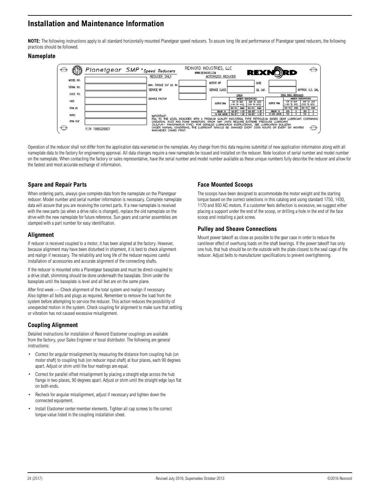### <span id="page-23-0"></span>**Installation and Maintenance Information**

**NOTE:** The following instructions apply to all standard horizontally mounted Planetgear speed reducers. To assure long life and performance of Planetgear speed reducers, the following practices should be followed.

### **Nameplate**



Operation of the reducer shall not differ from the application data warranted on the nameplate. Any change from this data requires submittal of new application information along with all nameplate data to the factory for engineering approval. All data changes require a new nameplate be issued and installed on the reducer. Note location of serial number and model number on the nameplate. When contacting the factory or sales representative, have the serial number and model number available as these unique numbers fully describe the reducer and allow for the fastest and most accurate exchange of information.

### **Spare and Repair Parts**

When ordering parts, always give complete data from the nameplate on the Planetgear reducer. Model number and serial number information is necessary. Complete nameplate data will assure that you are receiving the correct parts. If a new nameplate is received with the new parts (as when a drive ratio is changed), replace the old nameplate on the drive with the new nameplate for future reference. Sun gears and carrier assemblies are stamped with a part number for easy identification.

### **Alignment**

If reducer is received coupled to a motor, it has been aligned at the factory. However, because alignment may have been disturbed in shipment, it is best to check alignment and realign if necessary. The reliability and long life of the reducer requires careful installation of accessories and accurate alignment of the connecting shafts.

If the reducer is mounted onto a Planetgear baseplate and must be direct-coupled to a drive shaft, shimming should be done underneath the baseplate. Shim under the baseplate until the baseplate is level and all feet are on the same plane.

After first week — Check alignment of the total system and realign if necessary. Also tighten all bolts and plugs as required. Remember to remove the load from the system before attempting to service the reducer. This action reduces the possibility of unexpected motion in the system. Check coupling for alignment to make sure that settling or vibration has not caused excessive misalignment.

### **Coupling Alignment**

Detailed instructions for installation of Rexnord Elastomer couplings are available from the factory, your Sales Engineer or local distributor. The following are general instructions:

- Correct for angular misalignment by measuring the distance from coupling hub (on motor shaft) to coupling hub (on reducer input shaft) at four places, each 90 degrees apart. Adjust or shim until the four readings are equal.
- Correct for parallel offset misalignment by placing a straight edge across the hub flange in two places, 90 degrees apart. Adjust or shim until the straight edge lays flat on both ends.
- Recheck for angular misalignment, adjust if necessary and tighten down the connected equipment.
- Install Elastomer center member elements. Tighten all cap screws to the correct torque value listed in the coupling installation sheet.

### **Face Mounted Scoops**

The scoops have been designed to accommodate the motor weight and the starting torque based on the correct selections in this catalog and using standard 1750, 1430, 1170 and 950 AC motors. If a customer feels deflection is excessive, we suggest either placing a support under the end of the scoop, or drilling a hole in the end of the face scoop and installing a jack screw.

### **Pulley and Sheave Connections**

Mount power takeoff as close as possible to the gear case in order to reduce the cantilever effect of overhung loads on the shaft bearings. If the power takeoff has only one hub, that hub should be on the outside with the plate closest to the seal cage of the reducer. Adjust belts to manufacturer specifications to prevent overtightening.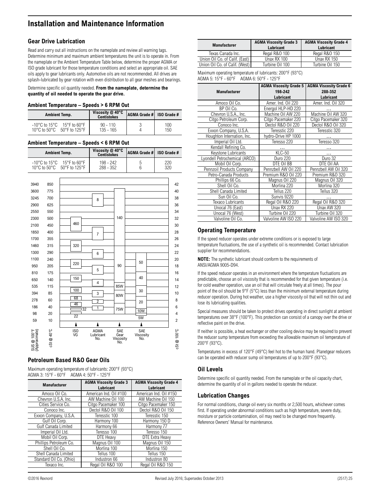### **Installation and Maintenance Information**

### **Gear Drive Lubrication**

Read and carry out all instructions on the nameplate and review all warning tags. Determine minimum and maximum ambient temperatures the unit is to operate in. From the nameplate or the Ambient Temperature Table below, determine the proper AGMA or ISO grade lubricant for those temperature conditions and select an appropriate oil. SAE oils apply to gear lubricants only. Automotive oils are not recommended. All drives are splash-lubricated by gear rotation with even distribution to all gear meshes and bearings.

#### Determine specific oil quantity needed. **From the nameplate, determine the quantity of oil needed to operate the gear drive.**

#### **Ambient Temperature – Speeds > 6 RPM Out**

| <b>Ambient Temp.</b>                                                                                                                           | Viscosity $@$ 40 $°C$<br><b>Centistokes</b> | AGMA Grade #   ISO Grade # |            |
|------------------------------------------------------------------------------------------------------------------------------------------------|---------------------------------------------|----------------------------|------------|
| $-10^{\circ}$ C to 15 $^{\circ}$ C 15 $^{\circ}$ F to 60 $^{\circ}$ F<br>10 $\rm{^{\circ}C}$ to 50 $\rm{^{\circ}C}$<br>$50^{\circ}$ F to 125°F | $90 - 110$<br>$135 - 165$                   |                            | 100<br>150 |

#### **Ambient Temperature – Speeds < 6 RPM Out**

|                                                                                                                                        | <b>Ambient Temp.</b>                                                                                                     |                                             | Viscosity @ 40°C<br><b>Centistokes</b>                    |                                 | <b>AGMA Grade #</b>     | ISO Grade #                                                                                             |
|----------------------------------------------------------------------------------------------------------------------------------------|--------------------------------------------------------------------------------------------------------------------------|---------------------------------------------|-----------------------------------------------------------|---------------------------------|-------------------------|---------------------------------------------------------------------------------------------------------|
|                                                                                                                                        | $-10^{\circ}$ C to 15 $^{\circ}$ C<br>10°C to 50°C                                                                       | 15°F to 60°F<br>50°F to 125°F               | 198 - 242<br>288 - 352                                    |                                 | 5<br>6                  | 220<br>320                                                                                              |
| 3940<br>3600<br>3245<br>2900<br>2550<br>2300<br>2100<br>1850<br>1700<br>1460<br>1300<br>1100<br>950<br>810<br>650<br>535<br>394<br>278 | 850<br>775<br>700<br>625<br>550<br>500<br>450<br>400<br>355<br>315<br>290<br>240<br>205<br>175<br>140<br>115<br>85<br>60 | 460<br>320<br>220<br>150<br>100<br>68<br>46 | 8<br>$\overline{7}$<br>6<br>5<br>4<br>3<br>$\overline{2}$ | 140<br>90<br>85W<br>80W         | 50<br>40<br>30<br>20    | 42<br>40<br>38<br>36<br>34<br>32<br>30<br>28<br>26<br>24<br>22<br>20<br>18<br>16<br>14<br>12<br>10<br>8 |
| 186                                                                                                                                    | 40                                                                                                                       | 132                                         | 1                                                         | <b>75W</b>                      | <b>10W</b>              | 6                                                                                                       |
| 98                                                                                                                                     | 20                                                                                                                       | $\overline{22}$                             |                                                           |                                 | 5W                      | $\overline{4}$                                                                                          |
| 59                                                                                                                                     | 10                                                                                                                       | ٨                                           | ٨                                                         | Δ                               | ٨                       | $\overline{c}$                                                                                          |
| SUS @ 100°F<br>(Approximate)                                                                                                           | <b>CSt @ 40°C</b>                                                                                                        | ISO<br>VG                                   | <b>AGMA</b><br>Lubricant<br>No.                           | SAE<br>Gear<br>Viscosity<br>No. | SAE<br>Viscosity<br>No. | CSt @ 100°C                                                                                             |

### **Petroleum Based R&O Gear Oils**

| Maximum operating temperature of lubricants: $200^{\circ}F$ (93 $^{\circ}C$ ) |
|-------------------------------------------------------------------------------|
| AGMA 3: 15°F - 60°F AGMA 4: 50°F - 125°F                                      |

| <b>Manufacturer</b>     | <b>AGMA Viscosity Grade 3</b> | <b>AGMA Viscosity Grade 4</b> |
|-------------------------|-------------------------------|-------------------------------|
|                         | Lubricant                     | Lubricant                     |
| Amoco Oil Co.           | American Ind. Oil #100        | American Ind. Oil #150        |
| Chevron U.S.A. Inc.     | AW Machine Oil 100            | AW Machine Oil 150            |
| Cities Service Co.      | Citgo Pacemaker 100           | Citgo Pacemaker 150           |
| Conoco Inc.             | Dectol R&O Oil 100            | Dectol R&O Oil 150            |
| Exxon Company, U.S.A.   | Teresstic 100                 | Teresstic 150                 |
| Gulf Oil Corp.          | Harmony 100                   | Harmony 150 D                 |
| Gulf Canada Limited     | Harmony 66                    | Harmony 77                    |
| Imperial Oil Ltd.       | Teresso 100                   | Teresso 150                   |
| Mobil Oil Corp.         | DTE Heavy                     | <b>DTE Extra Heavy</b>        |
| Phillips Petroleum Co.  | Magnus Oil 100                | Magnus Oil 150                |
| Shell Oil Co.           | Morlina 100                   | Morlina 150                   |
| Shell Canada Limited    | Tellus 100                    | Tellus 150                    |
| Standard Oil Co. (Ohio) | Industron 66                  | Industron 80                  |
| Texaco Inc.             | Regal Oil R&O 100             | Regal Oil R&O 150             |

| <b>Manufacturer</b>            | <b>AGMA Viscosity Grade 3</b><br>Lubricant | <b>AGMA Viscosity Grade 4</b><br>Lubricant |  |
|--------------------------------|--------------------------------------------|--------------------------------------------|--|
| Texas Canada Inc.              | Regal R&O 100                              | Regal R&O 150                              |  |
| Union Oil Co. of Calif. (East) | Unax RX 100                                | Unax RX 150                                |  |
| Union Oil Co. of Calif. (West) | Turbine Oil 100                            | Turbine Oil 150                            |  |
|                                |                                            |                                            |  |

Maximum operating temperature of lubricants: 200°F (93°C) AGMA 5: 15°F - 60°F AGMA 6: 50°F - 125°F

|                               | <b>AGMA Viscosity Grade 5</b> | <b>AGMA Viscosity Grade 6</b> |
|-------------------------------|-------------------------------|-------------------------------|
| <b>Manufacturer</b>           | 198-242                       | 288-352                       |
|                               | Lubricant                     | Lubricant                     |
| Amoco Oil Co.                 | Amer. Ind. Oil 220            | Amer. Ind. Oil 320            |
| BP Oil Co.                    | Energol HLP-HD 220            |                               |
| Chevron U.S.A., Inc.          | Machine Oil AW 220            | Machine Oil AW 320            |
| Citgo Petroleum Corp.         | Citgo Pacemaker 220           | Citgo Pacemaker 320           |
| Conoco Inc.                   | Dectol R&O Oil 220            | Dectol R&O Oil 320            |
| Exxon Company, U.S.A.         | Teresstic 220                 | Teresstic 320                 |
| Houghton Internation, Inc.    | hydro-Drive HP 1000           |                               |
| Imperial Oil Ltd.             | Teresso 220                   | Teresso 320                   |
| Kendall Refining Co.          |                               |                               |
| Keystone Lubricants           | $KLC-50$                      |                               |
| Lyondell Petrochemical (ARCO) | <b>Duro 220</b>               | Duro 32                       |
| Mobil Oil Corp.               | DTE Oil BB                    | DTE Oil AA                    |
| Pennzoil Products Company     | Pennzbell AW Oil 220          | Pennzbell AW Oil 320          |
| Petro-Canada Products         | Premium R&O Oil 220           | Premium R&O 320               |
| Phillips 66 Co.               | Magnus Oil 220                | Magnus Oil 320                |
| Shell Oil Co.                 | Morlina 220                   | Morlina 320                   |
| Shell Canada Limited          | Tellus 220                    | Tellus 320                    |
| Sun Oil Co.                   | Sunvis 9220                   |                               |
| <b>Texaco Lubricants</b>      | Regal Oil R&O 220             | Regal Oil R&O 320             |
| Unocal 76 (East)              | Unax RX 220                   | Unax AW 320                   |
| Unocal 76 (West)              | Turbine Oil 220               | Turbine Oil 320               |
| Valvoline Oil Co.             | Valvoline AW ISO 220          | Valvoline AW ISO 320          |

### **Operating Temperature**

If the speed reducer operates under extreme conditions or is exposed to large temperature fluctuations, the use of a synthetic oil is recommended. Contact lubrication supplier for recommendations.

**NOTE:** The synthetic lubricant should conform to the requirements of ANSI/AGMA 9005-D94.

If the speed reducer operates in an environment where the temperature fluctuations are predictable, choose an oil viscosity that is recommended for that given temperature (i.e. for cold weather operation, use an oil that will circulate freely at all times). The pour point of the oil should be 9°F (5°C) less than the minimum external temperature during reducer operation. During hot weather, use a higher viscosity oil that will not thin out and lose its lubricating qualities.

Special measures should be taken to protect drives operating in direct sunlight at ambient temperatures over 38°F (100°F). This protection can consist of a canopy over the drive or reflective paint on the drive.

If neither is possible, a heat exchanger or other cooling device may be required to prevent the reducer sump temperature from exceeding the allowable maximum oil temperature of 200°F (93°C).

Temperatures in excess of 120°F (49°C) feel hot to the human hand. Planetgear reducers can be operated with reducer sump oil temperatures of up to 200°F (93°C).

### **Oil Levels**

Determine specific oil quantity needed. From the nameplate or the oil capacity chart, determine the quantity of oil in gallons needed to operate the reducer.

### **Lubrication Changes**

For normal conditions, change oil every six months or 2,500 hours, whichever comes first. If operating under abnormal conditions such as high temperature, severe duty, moisture or particle contamination, oil may need to be changed more frequently. Reference Owners' Manual for maintenance.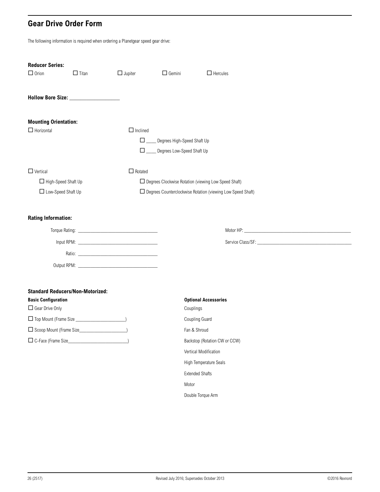### <span id="page-25-1"></span><span id="page-25-0"></span>**Gear Drive Order Form**

The following information is required when ordering a Planetgear speed gear drive:

| <b>Reducer Series:</b>                  |              |                                                        |                                                               |                                                                                                                                                                                                                                |  |  |
|-----------------------------------------|--------------|--------------------------------------------------------|---------------------------------------------------------------|--------------------------------------------------------------------------------------------------------------------------------------------------------------------------------------------------------------------------------|--|--|
| $\Box$ Orion                            | $\Box$ Titan | $\Box$ Jupiter                                         | $\Box$ Gemini                                                 | $\Box$ Hercules                                                                                                                                                                                                                |  |  |
|                                         |              |                                                        |                                                               |                                                                                                                                                                                                                                |  |  |
| <b>Mounting Orientation:</b>            |              |                                                        |                                                               |                                                                                                                                                                                                                                |  |  |
| $\Box$ Horizontal                       |              | $\Box$ Inclined                                        |                                                               |                                                                                                                                                                                                                                |  |  |
|                                         |              | $\Box$                                                 | Degrees High-Speed Shaft Up                                   |                                                                                                                                                                                                                                |  |  |
|                                         |              | $\Box$                                                 | Degrees Low-Speed Shaft Up                                    |                                                                                                                                                                                                                                |  |  |
| $\Box$ Vertical                         |              | $\Box$ Rotated                                         |                                                               |                                                                                                                                                                                                                                |  |  |
| High-Speed Shaft Up                     |              | □ Degrees Clockwise Rotation (viewing Low Speed Shaft) |                                                               |                                                                                                                                                                                                                                |  |  |
| □ Low-Speed Shaft Up                    |              |                                                        | □ Degrees Counterclockwise Rotation (viewing Low Speed Shaft) |                                                                                                                                                                                                                                |  |  |
| <b>Rating Information:</b>              |              |                                                        |                                                               |                                                                                                                                                                                                                                |  |  |
|                                         |              |                                                        |                                                               | Motor HP: Notice And the Second Contract of the Second Contract of the Second Contract of the Second Contract of the Second Contract of the Second Contract of the Second Contract of the Second Contract of the Second Contra |  |  |
|                                         |              |                                                        |                                                               |                                                                                                                                                                                                                                |  |  |
|                                         |              |                                                        |                                                               |                                                                                                                                                                                                                                |  |  |
|                                         |              |                                                        |                                                               |                                                                                                                                                                                                                                |  |  |
|                                         |              |                                                        |                                                               |                                                                                                                                                                                                                                |  |  |
| <b>Standard Reducers/Non-Motorized:</b> |              |                                                        |                                                               |                                                                                                                                                                                                                                |  |  |
| <b>Basic Configuration</b>              |              |                                                        |                                                               | <b>Optional Accessories</b>                                                                                                                                                                                                    |  |  |
| Gear Drive Only                         |              |                                                        | Couplings                                                     |                                                                                                                                                                                                                                |  |  |
|                                         |              |                                                        | Coupling Guard                                                |                                                                                                                                                                                                                                |  |  |
| Scoop Mount (Frame Size_                |              |                                                        | Fan & Shroud                                                  |                                                                                                                                                                                                                                |  |  |

C-Face (Frame Size\_\_\_\_\_\_\_\_\_\_\_\_\_\_\_\_\_\_\_\_\_\_\_\_) Backstop (Rotation CW or CCW)

Vertical Modification High Temperature Seals Extended Shafts Motor Double Torque Arm